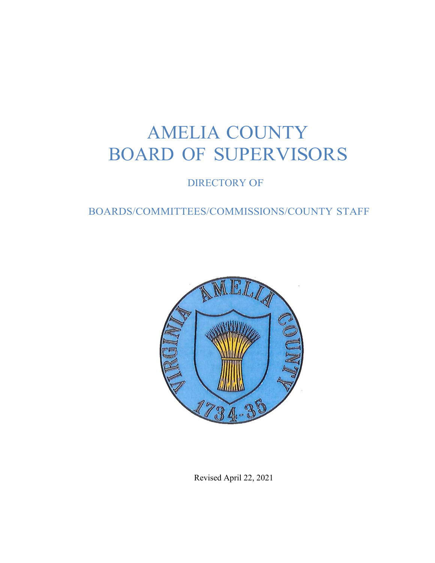# AMELIA COUNTY BOARD OF SUPERVISORS

DIRECTORY OF

## BOARDS/COMMITTEES/COMMISSIONS/COUNTY STAFF



Revised April 22, 2021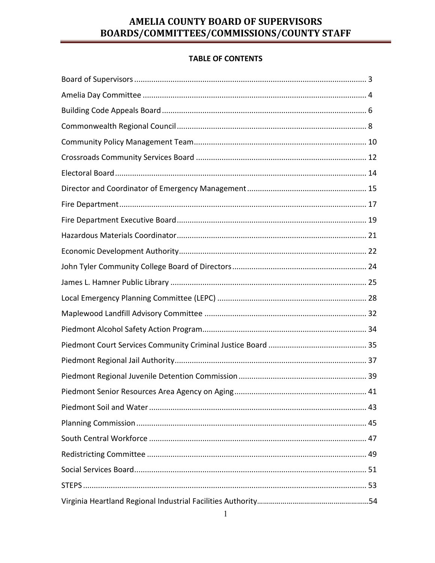### **TABLE OF CONTENTS**

| 41 |
|----|
|    |
|    |
|    |
|    |
|    |
|    |
|    |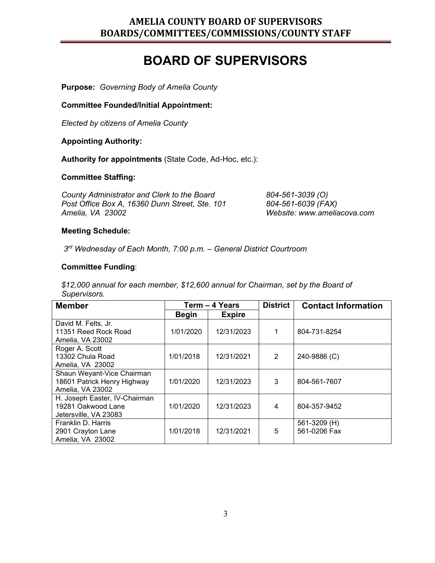## **BOARD OF SUPERVISORS**

**Purpose:** *Governing Body of Amelia County*

**Committee Founded/Initial Appointment:**

*Elected by citizens of Amelia County*

#### **Appointing Authority:**

**Authority for appointments** (State Code, Ad-Hoc, etc.):

#### **Committee Staffing:**

*County Administrator and Clerk to the Board 804-561-3039 (O) Post Office Box A, 16360 Dunn Street, Ste. 101 804-561-6039 (FAX)*

*Website: www.ameliacova.com* 

#### **Meeting Schedule:**

*3rd Wednesday of Each Month, 7:00 p.m. – General District Courtroom* 

#### **Committee Funding**:

*\$12,000 annual for each member, \$12,600 annual for Chairman, set by the Board of Supervisors.*

| <b>Member</b>                 | Term - 4 Years |               | <b>District</b> | <b>Contact Information</b> |
|-------------------------------|----------------|---------------|-----------------|----------------------------|
|                               | Begin          | <b>Expire</b> |                 |                            |
| David M. Felts, Jr.           |                |               |                 |                            |
| 11351 Reed Rock Road          | 1/01/2020      | 12/31/2023    |                 | 804-731-8254               |
| Amelia, VA 23002              |                |               |                 |                            |
| Roger A. Scott                |                |               |                 |                            |
| 13302 Chula Road              | 1/01/2018      | 12/31/2021    | 2               | 240-9886 (C)               |
| Amelia, VA 23002              |                |               |                 |                            |
| Shaun Weyant-Vice Chairman    |                |               |                 |                            |
| 18601 Patrick Henry Highway   | 1/01/2020      | 12/31/2023    | 3               | 804-561-7607               |
| Amelia, VA 23002              |                |               |                 |                            |
| H. Joseph Easter, IV-Chairman |                |               |                 |                            |
| 19281 Oakwood Lane            | 1/01/2020      | 12/31/2023    | 4               | 804-357-9452               |
| Jetersville, VA 23083         |                |               |                 |                            |
| Franklin D. Harris            |                |               |                 | 561-3209 (H)               |
| 2901 Crayton Lane             | 1/01/2018      | 12/31/2021    | 5               | 561-0206 Fax               |
| Amelia, VA 23002              |                |               |                 |                            |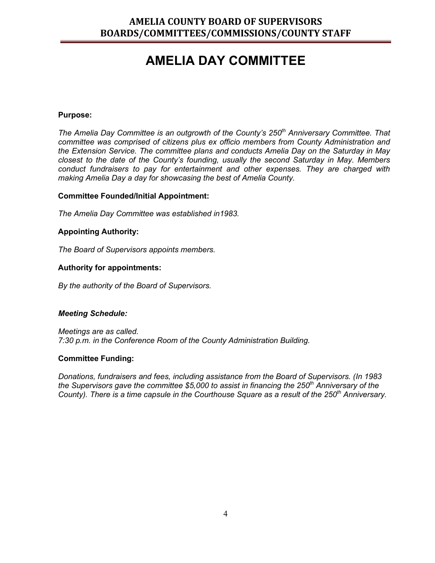## **AMELIA DAY COMMITTEE**

#### **Purpose:**

*The Amelia Day Committee is an outgrowth of the County's 250th Anniversary Committee. That committee was comprised of citizens plus ex officio members from County Administration and the Extension Service. The committee plans and conducts Amelia Day on the Saturday in May closest to the date of the County's founding, usually the second Saturday in May. Members conduct fundraisers to pay for entertainment and other expenses. They are charged with making Amelia Day a day for showcasing the best of Amelia County.*

#### **Committee Founded/Initial Appointment:**

*The Amelia Day Committee was established in1983.*

#### **Appointing Authority:**

*The Board of Supervisors appoints members.*

#### **Authority for appointments:**

*By the authority of the Board of Supervisors.*

#### *Meeting Schedule:*

*Meetings are as called. 7:30 p.m. in the Conference Room of the County Administration Building.*

#### **Committee Funding:**

*Donations, fundraisers and fees, including assistance from the Board of Supervisors. (In 1983 the Supervisors gave the committee \$5,000 to assist in financing the 250th Anniversary of the County). There is a time capsule in the Courthouse Square as a result of the 250th Anniversary.*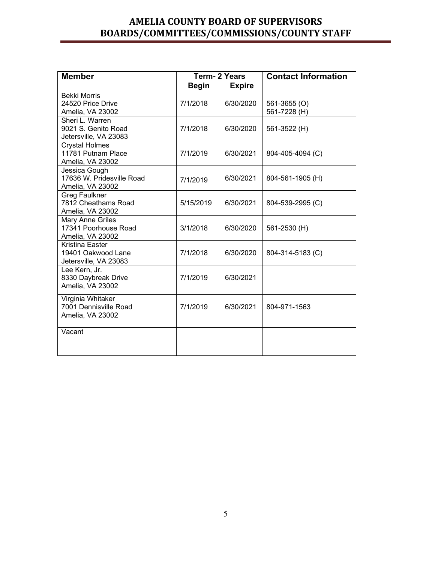| <b>Member</b>                                                       | <b>Term-2 Years</b> |               | <b>Contact Information</b>   |  |
|---------------------------------------------------------------------|---------------------|---------------|------------------------------|--|
|                                                                     | <b>Begin</b>        | <b>Expire</b> |                              |  |
| <b>Bekki Morris</b><br>24520 Price Drive<br>Amelia, VA 23002        | 7/1/2018            | 6/30/2020     | 561-3655 (O)<br>561-7228 (H) |  |
| Sheri L. Warren<br>9021 S. Genito Road<br>Jetersville, VA 23083     | 7/1/2018            | 6/30/2020     | 561-3522 (H)                 |  |
| <b>Crystal Holmes</b><br>11781 Putnam Place<br>Amelia, VA 23002     | 7/1/2019            | 6/30/2021     | 804-405-4094 (C)             |  |
| Jessica Gough<br>17636 W. Pridesville Road<br>Amelia, VA 23002      | 7/1/2019            | 6/30/2021     | 804-561-1905 (H)             |  |
| <b>Greg Faulkner</b><br>7812 Cheathams Road<br>Amelia, VA 23002     | 5/15/2019           | 6/30/2021     | 804-539-2995 (C)             |  |
| <b>Mary Anne Griles</b><br>17341 Poorhouse Road<br>Amelia, VA 23002 | 3/1/2018            | 6/30/2020     | 561-2530 (H)                 |  |
| Kristina Easter<br>19401 Oakwood Lane<br>Jetersville, VA 23083      | 7/1/2018            | 6/30/2020     | 804-314-5183 (C)             |  |
| Lee Kern, Jr.<br>8330 Daybreak Drive<br>Amelia, VA 23002            | 7/1/2019            | 6/30/2021     |                              |  |
| Virginia Whitaker<br>7001 Dennisville Road<br>Amelia, VA 23002      | 7/1/2019            | 6/30/2021     | 804-971-1563                 |  |
| Vacant                                                              |                     |               |                              |  |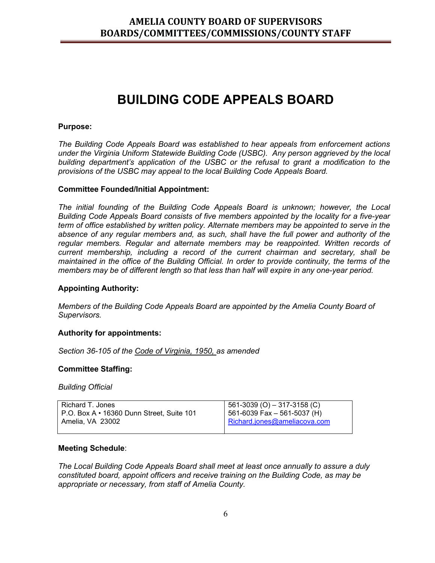## **BUILDING CODE APPEALS BOARD**

#### **Purpose:**

*The Building Code Appeals Board was established to hear appeals from enforcement actions under the Virginia Uniform Statewide Building Code (USBC). Any person aggrieved by the local building department's application of the USBC or the refusal to grant a modification to the provisions of the USBC may appeal to the local Building Code Appeals Board.*

#### **Committee Founded/Initial Appointment:**

*The initial founding of the Building Code Appeals Board is unknown; however, the Local Building Code Appeals Board consists of five members appointed by the locality for a five-year term of office established by written policy. Alternate members may be appointed to serve in the absence of any regular members and, as such, shall have the full power and authority of the*  regular members. Regular and alternate members may be reappointed. Written records of *current membership, including a record of the current chairman and secretary, shall be maintained in the office of the Building Official. In order to provide continuity, the terms of the members may be of different length so that less than half will expire in any one-year period.* 

#### **Appointing Authority:**

*Members of the Building Code Appeals Board are appointed by the Amelia County Board of Supervisors.*

#### **Authority for appointments:**

*Section 36-105 of the Code of Virginia, 1950, as amended*

#### **Committee Staffing:**

*Building Official*

| I Richard T. Jones                          | $561-3039$ (O) $-317-3158$ (C)  |
|---------------------------------------------|---------------------------------|
| l P.O. Box A • 16360 Dunn Street. Suite 101 | $  561-6039$ Fax - 561-5037 (H) |
| I Amelia. VA 23002 l                        | Richard.jones@ameliacova.com    |
|                                             |                                 |

#### **Meeting Schedule**:

*The Local Building Code Appeals Board shall meet at least once annually to assure a duly constituted board, appoint officers and receive training on the Building Code, as may be appropriate or necessary, from staff of Amelia County.*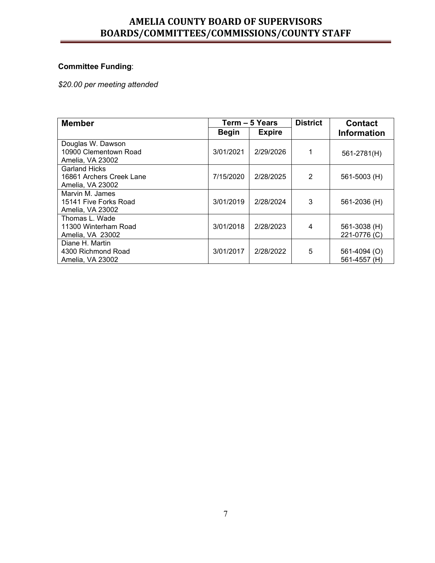## **Committee Funding**:

*\$20.00 per meeting attended*

| <b>Member</b>                                                        |              | Term - 5 Years | <b>District</b> | <b>Contact</b>               |
|----------------------------------------------------------------------|--------------|----------------|-----------------|------------------------------|
|                                                                      | <b>Begin</b> | <b>Expire</b>  |                 | <b>Information</b>           |
| Douglas W. Dawson<br>10900 Clementown Road<br>Amelia, VA 23002       | 3/01/2021    | 2/29/2026      | 1               | 561-2781(H)                  |
| <b>Garland Hicks</b><br>16861 Archers Creek Lane<br>Amelia, VA 23002 | 7/15/2020    | 2/28/2025      | $\overline{2}$  | $561 - 5003$ (H)             |
| Marvin M. James<br>15141 Five Forks Road<br>Amelia, VA 23002         | 3/01/2019    | 2/28/2024      | 3               | 561-2036 (H)                 |
| Thomas L. Wade<br>11300 Winterham Road<br>Amelia, VA 23002           | 3/01/2018    | 2/28/2023      | 4               | 561-3038 (H)<br>221-0776 (C) |
| Diane H. Martin<br>4300 Richmond Road<br>Amelia, VA 23002            | 3/01/2017    | 2/28/2022      | 5               | 561-4094 (O)<br>561-4557 (H) |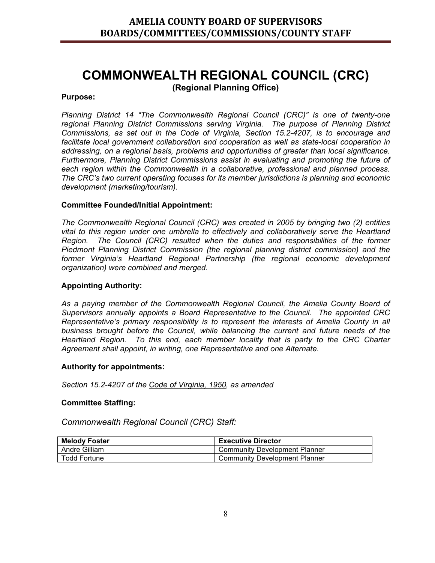## **COMMONWEALTH REGIONAL COUNCIL (CRC) (Regional Planning Office)**

#### **Purpose:**

*Planning District 14 "The Commonwealth Regional Council (CRC)" is one of twenty-one regional Planning District Commissions serving Virginia. The purpose of Planning District Commissions, as set out in the Code of Virginia, Section 15.2-4207, is to encourage and facilitate local government collaboration and cooperation as well as state-local cooperation in addressing, on a regional basis, problems and opportunities of greater than local significance. Furthermore, Planning District Commissions assist in evaluating and promoting the future of each region within the Commonwealth in a collaborative, professional and planned process. The CRC's two current operating focuses for its member jurisdictions is planning and economic development (marketing/tourism).* 

#### **Committee Founded/Initial Appointment:**

*The Commonwealth Regional Council (CRC) was created in 2005 by bringing two (2) entities vital to this region under one umbrella to effectively and collaboratively serve the Heartland Region. The Council (CRC) resulted when the duties and responsibilities of the former Piedmont Planning District Commission (the regional planning district commission) and the former Virginia's Heartland Regional Partnership (the regional economic development organization) were combined and merged.*

#### **Appointing Authority:**

*As a paying member of the Commonwealth Regional Council, the Amelia County Board of Supervisors annually appoints a Board Representative to the Council. The appointed CRC Representative's primary responsibility is to represent the interests of Amelia County in all business brought before the Council, while balancing the current and future needs of the Heartland Region. To this end, each member locality that is party to the CRC Charter Agreement shall appoint, in writing, one Representative and one Alternate.* 

#### **Authority for appointments:**

*Section 15.2-4207 of the Code of Virginia, 1950, as amended*

#### **Committee Staffing:**

*Commonwealth Regional Council (CRC) Staff:*

| <b>Melody Foster</b> | <b>Executive Director</b>     |
|----------------------|-------------------------------|
| Andre Gilliam        | Community Development Planner |
| Todd Fortune         | Community Development Planner |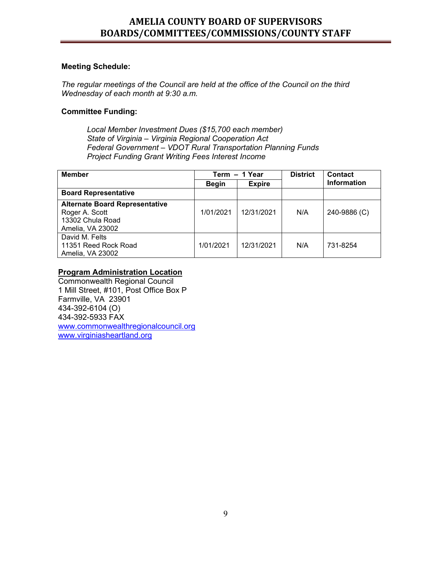#### **Meeting Schedule:**

*The regular meetings of the Council are held at the office of the Council on the third Wednesday of each month at 9:30 a.m.* 

#### **Committee Funding:**

*Local Member Investment Dues (\$15,700 each member) State of Virginia – Virginia Regional Cooperation Act Federal Government – VDOT Rural Transportation Planning Funds Project Funding Grant Writing Fees Interest Income*

| <b>Member</b>                         |              | Term - 1 Year | <b>District</b> | Contact            |
|---------------------------------------|--------------|---------------|-----------------|--------------------|
|                                       | <b>Begin</b> | <b>Expire</b> |                 | <b>Information</b> |
| <b>Board Representative</b>           |              |               |                 |                    |
| <b>Alternate Board Representative</b> |              |               |                 |                    |
| Roger A. Scott                        | 1/01/2021    | 12/31/2021    | N/A             | 240-9886 (C)       |
| 13302 Chula Road                      |              |               |                 |                    |
| Amelia, VA 23002                      |              |               |                 |                    |
| David M. Felts                        |              |               |                 |                    |
| 11351 Reed Rock Road                  | 1/01/2021    | 12/31/2021    | N/A             | 731-8254           |
| Amelia, VA 23002                      |              |               |                 |                    |

#### **Program Administration Location**

Commonwealth Regional Council 1 Mill Street, #101, Post Office Box P Farmville, VA 23901 434-392-6104 (O) 434-392-5933 FAX [www.commonwealthregionalcouncil.org](http://www.commonwealthregionalcouncil.org/) [www.virginiasheartland.org](http://www.virginiasheartland.org/)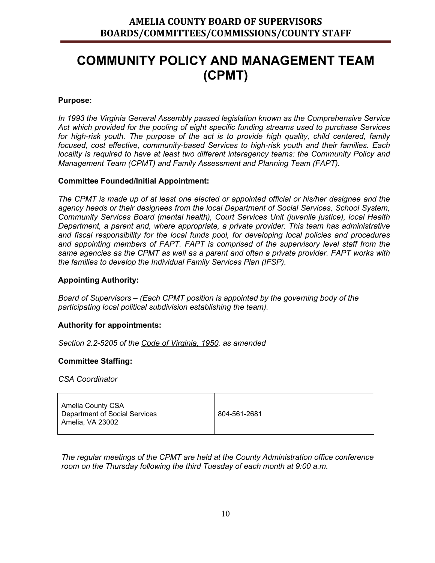## **COMMUNITY POLICY AND MANAGEMENT TEAM (CPMT)**

#### **Purpose:**

*In 1993 the Virginia General Assembly passed legislation known as the Comprehensive Service Act which provided for the pooling of eight specific funding streams used to purchase Services* for high-risk youth. The purpose of the act is to provide high quality, child centered, family *focused, cost effective, community-based Services to high-risk youth and their families. Each locality is required to have at least two different interagency teams: the Community Policy and Management Team (CPMT) and Family Assessment and Planning Team (FAPT).*

#### **Committee Founded/Initial Appointment:**

*The CPMT is made up of at least one elected or appointed official or his/her designee and the agency heads or their designees from the local Department of Social Services, School System, Community Services Board (mental health), Court Services Unit (juvenile justice), local Health Department, a parent and, where appropriate, a private provider. This team has administrative and fiscal responsibility for the local funds pool, for developing local policies and procedures and appointing members of FAPT. FAPT is comprised of the supervisory level staff from the same agencies as the CPMT as well as a parent and often a private provider. FAPT works with the families to develop the Individual Family Services Plan (IFSP).* 

#### **Appointing Authority:**

*Board of Supervisors – (Each CPMT position is appointed by the governing body of the participating local political subdivision establishing the team).*

#### **Authority for appointments:**

*Section 2.2-5205 of the Code of Virginia, 1950, as amended*

#### **Committee Staffing:**

*CSA Coordinator*

| Amelia County CSA<br>Department of Social Services<br>Amelia, VA 23002 | 804-561-2681 |
|------------------------------------------------------------------------|--------------|
|------------------------------------------------------------------------|--------------|

*The regular meetings of the CPMT are held at the County Administration office conference room on the Thursday following the third Tuesday of each month at 9:00 a.m.*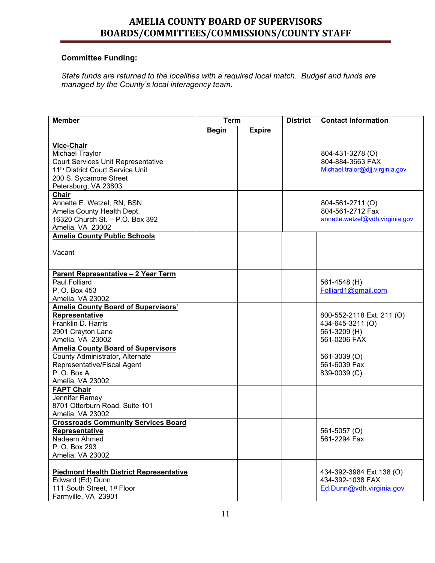### **Committee Funding:**

*State funds are returned to the localities with a required local match. Budget and funds are managed by the County's local interagency team.*

| <b>Member</b>                                                                 | <b>Term</b>  |               | <b>District</b> | <b>Contact Information</b>                   |  |
|-------------------------------------------------------------------------------|--------------|---------------|-----------------|----------------------------------------------|--|
|                                                                               | <b>Begin</b> | <b>Expire</b> |                 |                                              |  |
|                                                                               |              |               |                 |                                              |  |
| Vice-Chair                                                                    |              |               |                 |                                              |  |
| <b>Michael Traylor</b>                                                        |              |               |                 | 804-431-3278 (O)<br>804-884-3663 FAX         |  |
| <b>Court Services Unit Representative</b><br>11th District Court Service Unit |              |               |                 | Michael.tralor@djj.virginia.gov              |  |
| 200 S. Sycamore Street                                                        |              |               |                 |                                              |  |
| Petersburg, VA 23803                                                          |              |               |                 |                                              |  |
| <b>Chair</b>                                                                  |              |               |                 |                                              |  |
| Annette E. Wetzel, RN, BSN                                                    |              |               |                 | 804-561-2711 (O)                             |  |
| Amelia County Health Dept.                                                    |              |               |                 | 804-561-2712 Fax                             |  |
| 16320 Church St. - P.O. Box 392                                               |              |               |                 | annette.wetzel@vdh.virginia.gov              |  |
| Amelia, VA 23002                                                              |              |               |                 |                                              |  |
| <b>Amelia County Public Schools</b>                                           |              |               |                 |                                              |  |
|                                                                               |              |               |                 |                                              |  |
| Vacant                                                                        |              |               |                 |                                              |  |
|                                                                               |              |               |                 |                                              |  |
| Parent Representative - 2 Year Term                                           |              |               |                 |                                              |  |
| <b>Paul Folliard</b>                                                          |              |               |                 | 561-4548 (H)                                 |  |
| P. O. Box 453                                                                 |              |               |                 | Folliard1@gmail.com                          |  |
| Amelia, VA 23002                                                              |              |               |                 |                                              |  |
| <b>Amelia County Board of Supervisors'</b>                                    |              |               |                 |                                              |  |
| Representative                                                                |              |               |                 | 800-552-2118 Ext. 211 (O)                    |  |
| Franklin D. Harris                                                            |              |               |                 | 434-645-3211 (O)                             |  |
| 2901 Crayton Lane                                                             |              |               |                 | 561-3209 (H)                                 |  |
| Amelia, VA 23002                                                              |              |               |                 | 561-0206 FAX                                 |  |
| <b>Amelia County Board of Supervisors</b>                                     |              |               |                 |                                              |  |
| County Administrator, Alternate                                               |              |               |                 | 561-3039 (O)                                 |  |
| Representative/Fiscal Agent                                                   |              |               |                 | 561-6039 Fax                                 |  |
| P.O. Box A                                                                    |              |               |                 | 839-0039 (C)                                 |  |
| Amelia, VA 23002                                                              |              |               |                 |                                              |  |
| <b>FAPT Chair</b>                                                             |              |               |                 |                                              |  |
| Jennifer Ramey                                                                |              |               |                 |                                              |  |
| 8701 Otterburn Road, Suite 101                                                |              |               |                 |                                              |  |
| Amelia, VA 23002                                                              |              |               |                 |                                              |  |
| <b>Crossroads Community Services Board</b>                                    |              |               |                 |                                              |  |
| <b>Representative</b>                                                         |              |               |                 | 561-5057 (O)                                 |  |
| Nadeem Ahmed                                                                  |              |               |                 | 561-2294 Fax                                 |  |
| P. O. Box 293                                                                 |              |               |                 |                                              |  |
| Amelia, VA 23002                                                              |              |               |                 |                                              |  |
|                                                                               |              |               |                 |                                              |  |
| <b>Piedmont Health District Representative</b>                                |              |               |                 | 434-392-3984 Ext 138 (O)<br>434-392-1038 FAX |  |
| Edward (Ed) Dunn<br>111 South Street, 1 <sup>st</sup> Floor                   |              |               |                 | Ed.Dunn@vdh.virginia.gov                     |  |
| Farmville, VA 23901                                                           |              |               |                 |                                              |  |
|                                                                               |              |               |                 |                                              |  |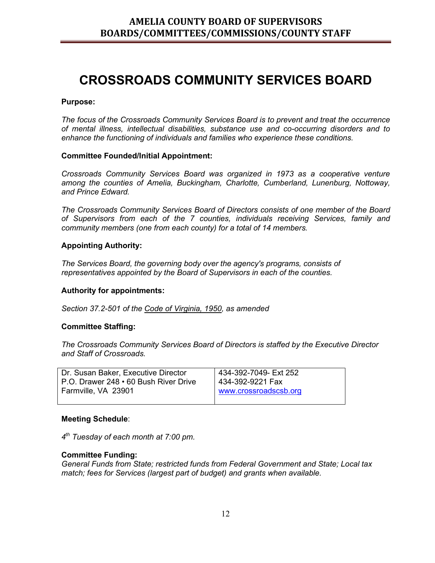## **CROSSROADS COMMUNITY SERVICES BOARD**

#### **Purpose:**

*The focus of the Crossroads Community Services Board is to prevent and treat the occurrence of mental illness, intellectual disabilities, substance use and co-occurring disorders and to enhance the functioning of individuals and families who experience these conditions.*

#### **Committee Founded/Initial Appointment:**

*Crossroads Community Services Board was organized in 1973 as a cooperative venture among the counties of Amelia, Buckingham, Charlotte, Cumberland, Lunenburg, Nottoway, and Prince Edward.*

*The Crossroads Community Services Board of Directors consists of one member of the Board of Supervisors from each of the 7 counties, individuals receiving Services, family and community members (one from each county) for a total of 14 members.*

#### **Appointing Authority:**

*The Services Board, the governing body over the agency's programs, consists of representatives appointed by the Board of Supervisors in each of the counties.*

#### **Authority for appointments:**

*Section 37.2-501 of the Code of Virginia, 1950, as amended*

#### **Committee Staffing:**

*The Crossroads Community Services Board of Directors is staffed by the Executive Director and Staff of Crossroads.* 

| Dr. Susan Baker, Executive Director   | 434-392-7049- Ext 252 |
|---------------------------------------|-----------------------|
| P.O. Drawer 248 • 60 Bush River Drive | 434-392-9221 Fax      |
| Farmville, VA 23901                   | www.crossroadscsb.org |
|                                       |                       |

#### **Meeting Schedule**:

*4th Tuesday of each month at 7:00 pm.* 

#### **Committee Funding:**

*General Funds from State; restricted funds from Federal Government and State; Local tax match; fees for Services (largest part of budget) and grants when available.*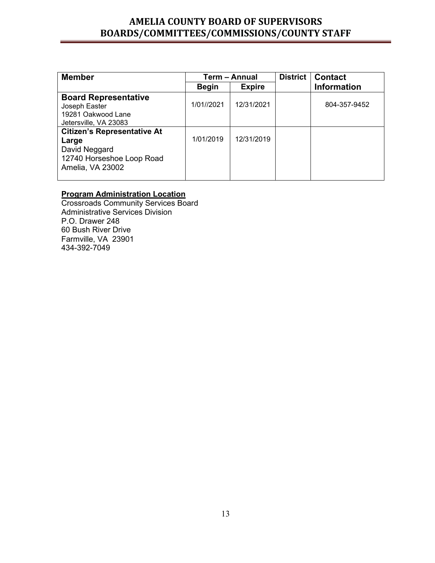| <b>Member</b>                      |              | Term - Annual | <b>District</b> | <b>Contact</b>     |
|------------------------------------|--------------|---------------|-----------------|--------------------|
|                                    | <b>Begin</b> | <b>Expire</b> |                 | <b>Information</b> |
| <b>Board Representative</b>        |              |               |                 |                    |
| Joseph Easter                      | 1/01//2021   | 12/31/2021    |                 | 804-357-9452       |
| 19281 Oakwood Lane                 |              |               |                 |                    |
| Jetersville, VA 23083              |              |               |                 |                    |
| <b>Citizen's Representative At</b> |              |               |                 |                    |
| Large                              | 1/01/2019    | 12/31/2019    |                 |                    |
| David Neggard                      |              |               |                 |                    |
| 12740 Horseshoe Loop Road          |              |               |                 |                    |
| Amelia, VA 23002                   |              |               |                 |                    |
|                                    |              |               |                 |                    |

### **Program Administration Location**

Crossroads Community Services Board Administrative Services Division P.O. Drawer 248 60 Bush River Drive Farmville, VA 23901 434-392-7049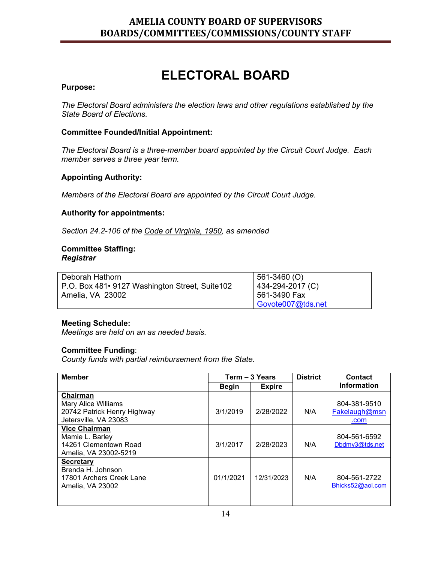## **ELECTORAL BOARD**

#### **Purpose:**

*The Electoral Board administers the election laws and other regulations established by the State Board of Elections.*

#### **Committee Founded/Initial Appointment:**

*The Electoral Board is a three-member board appointed by the Circuit Court Judge. Each member serves a three year term.* 

#### **Appointing Authority:**

*Members of the Electoral Board are appointed by the Circuit Court Judge.*

#### **Authority for appointments:**

*Section 24.2-106 of the Code of Virginia, 1950, as amended*

#### **Committee Staffing:**  *Registrar*

| Deborah Hathorn                                  | 561-3460 (O)      |
|--------------------------------------------------|-------------------|
| P.O. Box 481 • 9127 Washington Street, Suite 102 | 434-294-2017 (C)  |
| Amelia, VA 23002                                 | 561-3490 Fax      |
|                                                  | Govote007@tds.net |

#### **Meeting Schedule:**

*Meetings are held on an as needed basis.* 

#### **Committee Funding**:

*County funds with partial reimbursement from the State.*

| <b>Member</b>                                                                                                   |              | Term - 3 Years | <b>District</b> | Contact                               |
|-----------------------------------------------------------------------------------------------------------------|--------------|----------------|-----------------|---------------------------------------|
|                                                                                                                 | <b>Begin</b> | <b>Expire</b>  |                 | <b>Information</b>                    |
| Chairman<br>Mary Alice Williams<br>20742 Patrick Henry Highway<br>Jetersville, VA 23083<br><b>Vice Chairman</b> | 3/1/2019     | 2/28/2022      | N/A             | 804-381-9510<br>Fakelaugh@msn<br>.com |
| Mamie L. Barley<br>14261 Clementown Road<br>Amelia, VA 23002-5219                                               | 3/1/2017     | 2/28/2023      | N/A             | 804-561-6592<br>Dbdmy3@tds.net        |
| <b>Secretary</b><br>Brenda H. Johnson<br>17801 Archers Creek Lane<br>Amelia, VA 23002                           | 01/1/2021    | 12/31/2023     | N/A             | 804-561-2722<br>Bhicks52@aol.com      |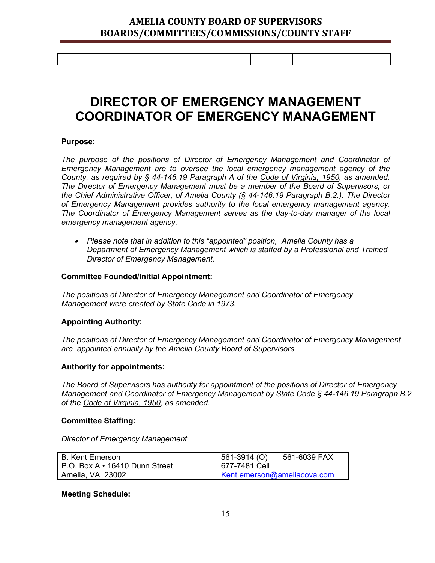## **DIRECTOR OF EMERGENCY MANAGEMENT COORDINATOR OF EMERGENCY MANAGEMENT**

#### **Purpose:**

*The purpose of the positions of Director of Emergency Management and Coordinator of Emergency Management are to oversee the local emergency management agency of the County, as required by § 44-146.19 Paragraph A of the Code of Virginia, 1950, as amended. The Director of Emergency Management must be a member of the Board of Supervisors, or the Chief Administrative Officer, of Amelia County (§ 44-146.19 Paragraph B.2.). The Director of Emergency Management provides authority to the local emergency management agency. The Coordinator of Emergency Management serves as the day-to-day manager of the local emergency management agency.*

• *Please note that in addition to this "appointed" position, Amelia County has a Department of Emergency Management which is staffed by a Professional and Trained Director of Emergency Management.*

#### **Committee Founded/Initial Appointment:**

*The positions of Director of Emergency Management and Coordinator of Emergency Management were created by State Code in 1973.*

#### **Appointing Authority:**

*The positions of Director of Emergency Management and Coordinator of Emergency Management are appointed annually by the Amelia County Board of Supervisors.*

#### **Authority for appointments:**

*The Board of Supervisors has authority for appointment of the positions of Director of Emergency Management and Coordinator of Emergency Management by State Code § 44-146.19 Paragraph B.2 of the Code of Virginia, 1950, as amended.*

#### **Committee Staffing:**

*Director of Emergency Management* 

| B. Kent Emerson                        | $561-3914(0)$               | 561-6039 FAX |
|----------------------------------------|-----------------------------|--------------|
| $P.O.$ Box A $\cdot$ 16410 Dunn Street | 677-7481 Cell               |              |
| Amelia, VA 23002                       | Kent.emerson@ameliacova.com |              |

#### **Meeting Schedule:**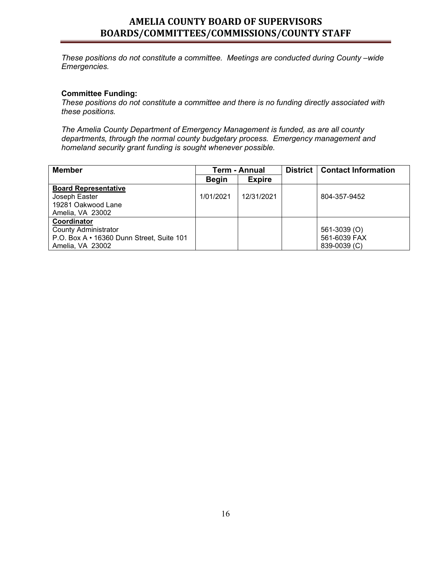*These positions do not constitute a committee. Meetings are conducted during County –wide Emergencies.*

#### **Committee Funding:**

*These positions do not constitute a committee and there is no funding directly associated with these positions.* 

*The Amelia County Department of Emergency Management is funded, as are all county departments, through the normal county budgetary process. Emergency management and homeland security grant funding is sought whenever possible.*

| <b>Member</b>                             | Term - Annual |               | District   Contact Information |
|-------------------------------------------|---------------|---------------|--------------------------------|
|                                           | <b>Begin</b>  | <b>Expire</b> |                                |
| <b>Board Representative</b>               |               |               |                                |
| Joseph Easter                             | 1/01/2021     | 12/31/2021    | 804-357-9452                   |
| 19281 Oakwood Lane                        |               |               |                                |
| Amelia, VA 23002                          |               |               |                                |
| Coordinator                               |               |               |                                |
| <b>County Administrator</b>               |               |               | 561-3039 (O)                   |
| P.O. Box A • 16360 Dunn Street, Suite 101 |               |               | 561-6039 FAX                   |
| Amelia, VA 23002                          |               |               | 839-0039 (C)                   |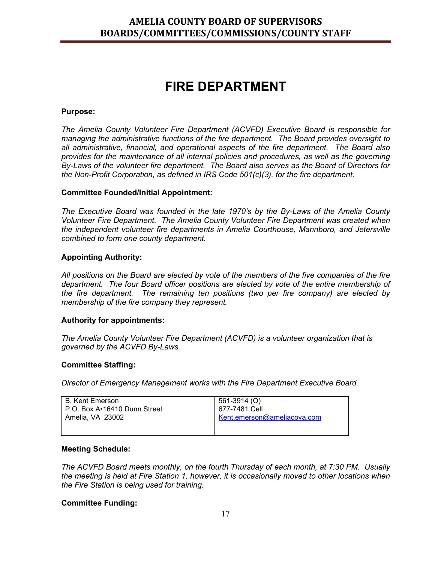## **FIRE DEPARTMENT**

#### **Purpose:**

*The Amelia County Volunteer Fire Department (ACVFD) Executive Board is responsible for managing the administrative functions of the fire department. The Board provides oversight to all administrative, financial, and operational aspects of the fire department. The Board also provides for the maintenance of all internal policies and procedures, as well as the governing By-Laws of the volunteer fire department. The Board also serves as the Board of Directors for the Non-Profit Corporation, as defined in IRS Code 501(c)(3), for the fire department.*

#### **Committee Founded/Initial Appointment:**

*The Executive Board was founded in the late 1970's by the By-Laws of the Amelia County Volunteer Fire Department. The Amelia County Volunteer Fire Department was created when the independent volunteer fire departments in Amelia Courthouse, Mannboro, and Jetersville combined to form one county department.*

#### **Appointing Authority:**

*All positions on the Board are elected by vote of the members of the five companies of the fire department. The four Board officer positions are elected by vote of the entire membership of the fire department. The remaining ten positions (two per fire company) are elected by membership of the fire company they represent.*

#### **Authority for appointments:**

*The Amelia County Volunteer Fire Department (ACVFD) is a volunteer organization that is governed by the ACVFD By-Laws.*

#### **Committee Staffing:**

*Director of Emergency Management works with the Fire Department Executive Board.*

| l B. Kent Emerson.<br>l P.O. Box A•16410 Dunn Street_ | 561-3914 (O)<br>677-7481 Cell |
|-------------------------------------------------------|-------------------------------|
| l Amelia. VA 23002                                    | Kent.emerson@ameliacova.com   |
|                                                       |                               |

#### **Meeting Schedule:**

*The ACVFD Board meets monthly, on the fourth Thursday of each month, at 7:30 PM. Usually the meeting is held at Fire Station 1, however, it is occasionally moved to other locations when the Fire Station is being used for training.* 

#### **Committee Funding:**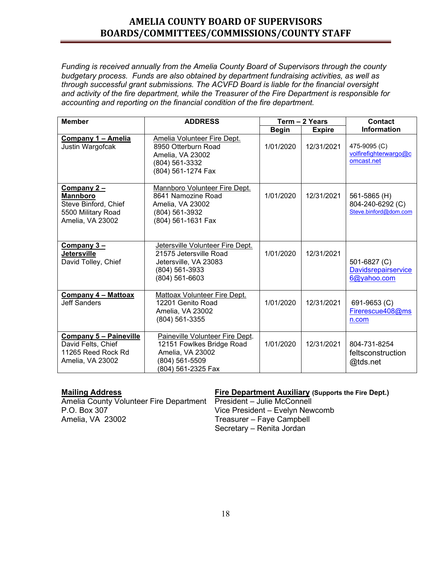*Funding is received annually from the Amelia County Board of Supervisors through the county budgetary process. Funds are also obtained by department fundraising activities, as well as through successful grant submissions. The ACVFD Board is liable for the financial oversight and activity of the fire department, while the Treasurer of the Fire Department is responsible for accounting and reporting on the financial condition of the fire department.* 

| <b>Member</b>                                                                                    | <b>ADDRESS</b>                                                                                                           | Term - 2 Years |               | <b>Contact</b>                                            |
|--------------------------------------------------------------------------------------------------|--------------------------------------------------------------------------------------------------------------------------|----------------|---------------|-----------------------------------------------------------|
|                                                                                                  |                                                                                                                          | <b>Begin</b>   | <b>Expire</b> | <b>Information</b>                                        |
| Company 1 - Amelia<br>Justin Wargofcak                                                           | <b>Amelia Volunteer Fire Dept.</b><br>8950 Otterburn Road<br>Amelia, VA 23002<br>(804) 561-3332<br>(804) 561-1274 Fax    | 1/01/2020      | 12/31/2021    | 475-9095 (C)<br>volfirefighterwargo@c<br>omcast.net       |
| Company 2 –<br><b>Mannboro</b><br>Steve Binford, Chief<br>5500 Military Road<br>Amelia, VA 23002 | Mannboro Volunteer Fire Dept.<br>8641 Namozine Road<br>Amelia, VA 23002<br>(804) 561-3932<br>(804) 561-1631 Fax          | 1/01/2020      | 12/31/2021    | 561-5865 (H)<br>804-240-6292 (C)<br>Steve.binford@dom.com |
| Company 3-<br><b>Jetersville</b><br>David Tolley, Chief                                          | Jetersville Volunteer Fire Dept.<br>21575 Jetersville Road<br>Jetersville, VA 23083<br>(804) 561-3933<br>(804) 561-6603  | 1/01/2020      | 12/31/2021    | 501-6827 (C)<br><b>Davidsrepairservice</b><br>6@yahoo.com |
| Company 4 - Mattoax<br><b>Jeff Sanders</b>                                                       | Mattoax Volunteer Fire Dept.<br>12201 Genito Road<br>Amelia, VA 23002<br>(804) 561-3355                                  | 1/01/2020      | 12/31/2021    | 691-9653 (C)<br>Firerescue408@ms<br>n.com                 |
| <b>Company 5 - Paineville</b><br>David Felts, Chief<br>11265 Reed Rock Rd<br>Amelia, VA 23002    | Paineville Volunteer Fire Dept.<br>12151 Fowlkes Bridge Road<br>Amelia, VA 23002<br>(804) 561-5509<br>(804) 561-2325 Fax | 1/01/2020      | 12/31/2021    | 804-731-8254<br>feltsconstruction<br>@tds.net             |

Amelia County Volunteer Fire Department<br>P.O. Box 307 Vice President – Evelyn New P.O. Box 307 <br>Amelia, VA 23002 **Amelia, VA 23002** Treasurer – Faye Campbell

#### **Mailing Address Fire Department Auxiliary (Supports the Fire Dept.)**

Treasurer – Faye Campbell Secretary – Renita Jordan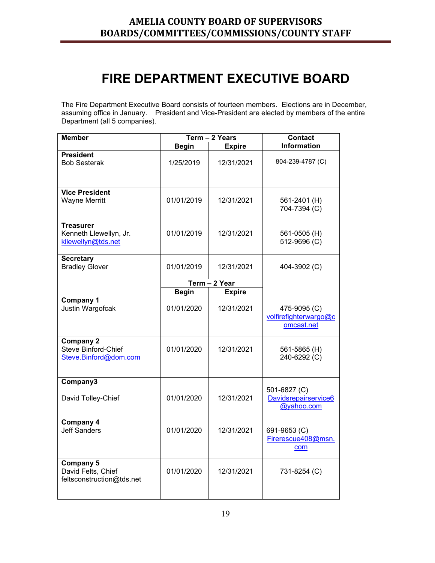## **FIRE DEPARTMENT EXECUTIVE BOARD**

The Fire Department Executive Board consists of fourteen members. Elections are in December, assuming office in January. President and Vice-President are elected by members of the entire Department (all 5 companies).

| <b>Member</b>                                                           |              | Term - 2 Years | <b>Contact</b>                                      |
|-------------------------------------------------------------------------|--------------|----------------|-----------------------------------------------------|
|                                                                         | <b>Begin</b> | <b>Expire</b>  | <b>Information</b>                                  |
| <b>President</b><br><b>Bob Sesterak</b>                                 | 1/25/2019    | 12/31/2021     | 804-239-4787 (C)                                    |
| <b>Vice President</b><br><b>Wayne Merritt</b>                           | 01/01/2019   | 12/31/2021     | 561-2401 (H)<br>704-7394 (C)                        |
| <b>Treasurer</b><br>Kenneth Llewellyn, Jr.<br>kllewellyn@tds.net        | 01/01/2019   | 12/31/2021     | 561-0505 (H)<br>512-9696 (C)                        |
| <b>Secretary</b><br><b>Bradley Glover</b>                               | 01/01/2019   | 12/31/2021     | 404-3902 (C)                                        |
|                                                                         |              | Term - 2 Year  |                                                     |
|                                                                         | <b>Begin</b> | <b>Expire</b>  |                                                     |
| <b>Company 1</b><br>Justin Wargofcak                                    | 01/01/2020   | 12/31/2021     | 475-9095 (C)<br>volfirefighterwargo@c<br>omcast.net |
| <b>Company 2</b><br><b>Steve Binford-Chief</b><br>Steve.Binford@dom.com | 01/01/2020   | 12/31/2021     | 561-5865 (H)<br>240-6292 (C)                        |
| Company3<br>David Tolley-Chief                                          | 01/01/2020   | 12/31/2021     | 501-6827 (C)<br>Davidsrepairservice6<br>@yahoo.com  |
| Company 4<br><b>Jeff Sanders</b>                                        | 01/01/2020   | 12/31/2021     | 691-9653 (C)<br>Firerescue408@msn.<br>com           |
| <b>Company 5</b><br>David Felts, Chief<br>feltsconstruction@tds.net     | 01/01/2020   | 12/31/2021     | 731-8254 (C)                                        |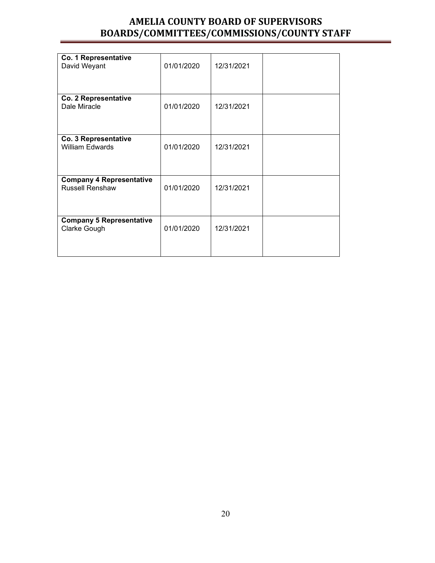| Co. 1 Representative<br>David Weyant                      | 01/01/2020 | 12/31/2021 |  |
|-----------------------------------------------------------|------------|------------|--|
| Co. 2 Representative<br>Dale Miracle                      | 01/01/2020 | 12/31/2021 |  |
| Co. 3 Representative<br><b>William Edwards</b>            | 01/01/2020 | 12/31/2021 |  |
| <b>Company 4 Representative</b><br><b>Russell Renshaw</b> | 01/01/2020 | 12/31/2021 |  |
| <b>Company 5 Representative</b><br>Clarke Gough           | 01/01/2020 | 12/31/2021 |  |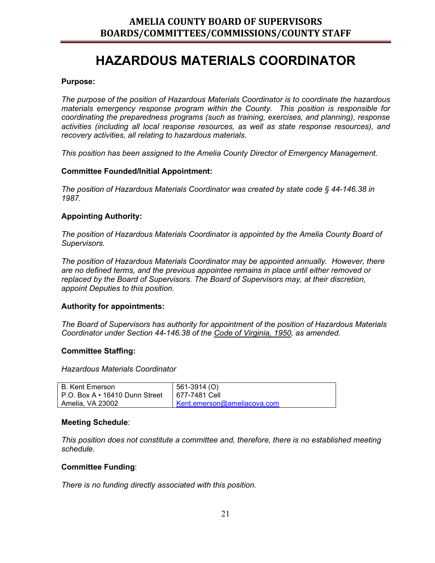## **HAZARDOUS MATERIALS COORDINATOR**

#### **Purpose:**

*The purpose of the position of Hazardous Materials Coordinator is to coordinate the hazardous materials emergency response program within the County. This position is responsible for coordinating the preparedness programs (such as training, exercises, and planning), response activities (including all local response resources, as well as state response resources), and recovery activities, all relating to hazardous materials.*

*This position has been assigned to the Amelia County Director of Emergency Management.*

#### **Committee Founded/Initial Appointment:**

*The position of Hazardous Materials Coordinator was created by state code § 44-146.38 in 1987.*

#### **Appointing Authority:**

*The position of Hazardous Materials Coordinator is appointed by the Amelia County Board of Supervisors.*

*The position of Hazardous Materials Coordinator may be appointed annually. However, there are no defined terms, and the previous appointee remains in place until either removed or replaced by the Board of Supervisors. The Board of Supervisors may, at their discretion, appoint Deputies to this position.*

#### **Authority for appointments:**

*The Board of Supervisors has authority for appointment of the position of Hazardous Materials Coordinator under Section 44-146.38 of the Code of Virginia, 1950, as amended.*

#### **Committee Staffing:**

*Hazardous Materials Coordinator*

| B. Kent Emerson                                      | 561-3914 (O)                |
|------------------------------------------------------|-----------------------------|
| P.O. Box A $\cdot$ 16410 Dunn Street   677-7481 Cell |                             |
| Amelia, VA 23002                                     | Kent.emerson@ameliacova.com |

#### **Meeting Schedule**:

*This position does not constitute a committee and, therefore, there is no established meeting schedule.*

#### **Committee Funding**:

*There is no funding directly associated with this position.*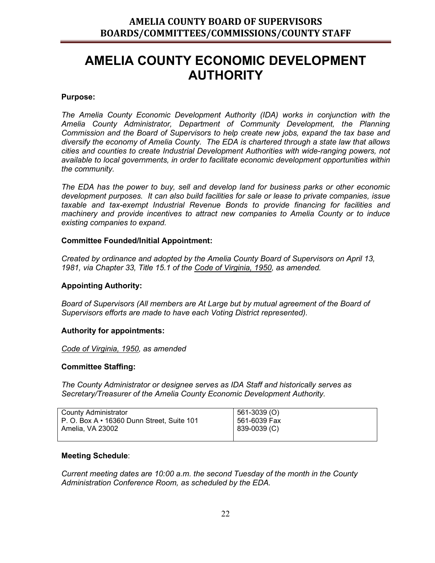## **AMELIA COUNTY ECONOMIC DEVELOPMENT AUTHORITY**

#### **Purpose:**

*The Amelia County Economic Development Authority (IDA) works in conjunction with the Amelia County Administrator, Department of Community Development, the Planning Commission and the Board of Supervisors to help create new jobs, expand the tax base and diversify the economy of Amelia County. The EDA is chartered through a state law that allows cities and counties to create Industrial Development Authorities with wide-ranging powers, not available to local governments, in order to facilitate economic development opportunities within the community.*

*The EDA has the power to buy, sell and develop land for business parks or other economic development purposes. It can also build facilities for sale or lease to private companies, issue taxable and tax-exempt Industrial Revenue Bonds to provide financing for facilities and machinery and provide incentives to attract new companies to Amelia County or to induce existing companies to expand.*

#### **Committee Founded/Initial Appointment:**

*Created by ordinance and adopted by the Amelia County Board of Supervisors on April 13, 1981, via Chapter 33, Title 15.1 of the Code of Virginia, 1950, as amended.*

#### **Appointing Authority:**

*Board of Supervisors (All members are At Large but by mutual agreement of the Board of Supervisors efforts are made to have each Voting District represented).*

#### **Authority for appointments:**

*Code of Virginia, 1950, as amended*

#### **Committee Staffing:**

*The County Administrator or designee serves as IDA Staff and historically serves as Secretary/Treasurer of the Amelia County Economic Development Authority.*

| <b>County Administrator</b>                      | 561-3039 (O)   |
|--------------------------------------------------|----------------|
| P. O. Box $A \cdot 16360$ Dunn Street, Suite 101 | l 561-6039 Fax |
| Amelia, VA 23002                                 | 839-0039 (C)   |
|                                                  |                |

#### **Meeting Schedule**:

*Current meeting dates are 10:00 a.m. the second Tuesday of the month in the County Administration Conference Room, as scheduled by the EDA.*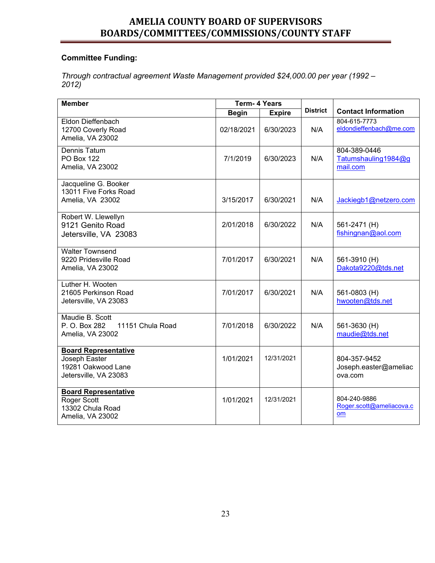### **Committee Funding:**

*Through contractual agreement Waste Management provided \$24,000.00 per year (1992 – 2012)*

| <b>Member</b>                                                                               | <b>Term- 4 Years</b> |               |                 |                                                  |
|---------------------------------------------------------------------------------------------|----------------------|---------------|-----------------|--------------------------------------------------|
|                                                                                             | <b>Begin</b>         | <b>Expire</b> | <b>District</b> | <b>Contact Information</b>                       |
| Eldon Dieffenbach<br>12700 Coverly Road<br>Amelia, VA 23002                                 | 02/18/2021           | 6/30/2023     | N/A             | 804-615-7773<br>eldondieffenbach@me.com          |
| <b>Dennis Tatum</b><br><b>PO Box 122</b><br>Amelia, VA 23002                                | 7/1/2019             | 6/30/2023     | N/A             | 804-389-0446<br>Tatumshauling1984@g<br>mail.com  |
| Jacqueline G. Booker<br>13011 Five Forks Road<br>Amelia, VA 23002                           | 3/15/2017            | 6/30/2021     | N/A             | Jackiegb1@netzero.com                            |
| Robert W. Llewellyn<br>9121 Genito Road<br>Jetersville, VA 23083                            | 2/01/2018            | 6/30/2022     | N/A             | 561-2471 (H)<br>fishingnan@aol.com               |
| <b>Walter Townsend</b><br>9220 Pridesville Road<br>Amelia, VA 23002                         | 7/01/2017            | 6/30/2021     | N/A             | 561-3910 (H)<br>Dakota9220@tds.net               |
| Luther H. Wooten<br>21605 Perkinson Road<br>Jetersville, VA 23083                           | 7/01/2017            | 6/30/2021     | N/A             | 561-0803 (H)<br>hwooten@tds.net                  |
| Maudie B. Scott<br>P. O. Box 282<br>11151 Chula Road<br>Amelia, VA 23002                    | 7/01/2018            | 6/30/2022     | N/A             | 561-3630 (H)<br>maudie@tds.net                   |
| <b>Board Representative</b><br>Joseph Easter<br>19281 Oakwood Lane<br>Jetersville, VA 23083 | 1/01/2021            | 12/31/2021    |                 | 804-357-9452<br>Joseph.easter@ameliac<br>ova.com |
| <b>Board Representative</b><br>Roger Scott<br>13302 Chula Road<br>Amelia, VA 23002          | 1/01/2021            | 12/31/2021    |                 | 804-240-9886<br>Roger.scott@ameliacova.c<br>om   |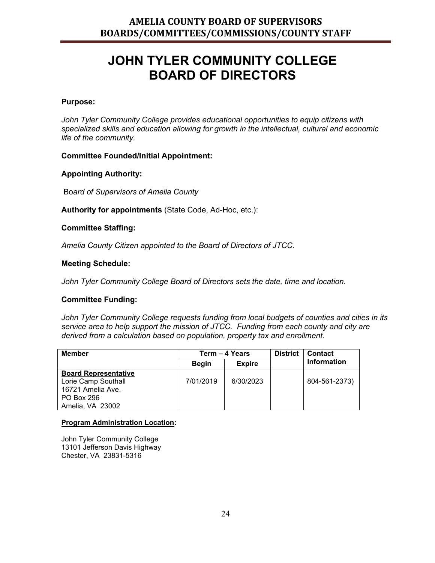## **JOHN TYLER COMMUNITY COLLEGE BOARD OF DIRECTORS**

#### **Purpose:**

*John Tyler Community College provides educational opportunities to equip citizens with specialized skills and education allowing for growth in the intellectual, cultural and economic life of the community.*

#### **Committee Founded/Initial Appointment:**

#### **Appointing Authority:**

Bo*ard of Supervisors of Amelia County* 

**Authority for appointments** (State Code, Ad-Hoc, etc.):

#### **Committee Staffing:**

*Amelia County Citizen appointed to the Board of Directors of JTCC.* 

#### **Meeting Schedule:**

*John Tyler Community College Board of Directors sets the date, time and location.*

#### **Committee Funding:**

*John Tyler Community College requests funding from local budgets of counties and cities in its service area to help support the mission of JTCC. Funding from each county and city are derived from a calculation based on population, property tax and enrollment.* 

| <b>Member</b>               |              | Term – 4 Years | <b>District</b> | <b>Contact</b> |
|-----------------------------|--------------|----------------|-----------------|----------------|
|                             | <b>Begin</b> | <b>Expire</b>  |                 | Information    |
| <b>Board Representative</b> |              |                |                 |                |
| Lorie Camp Southall         | 7/01/2019    | 6/30/2023      |                 | 804-561-2373)  |
| 16721 Amelia Ave.           |              |                |                 |                |
| PO Box 296                  |              |                |                 |                |
| Amelia, VA 23002            |              |                |                 |                |

#### **Program Administration Location:**

John Tyler Community College 13101 Jefferson Davis Highway Chester, VA 23831-5316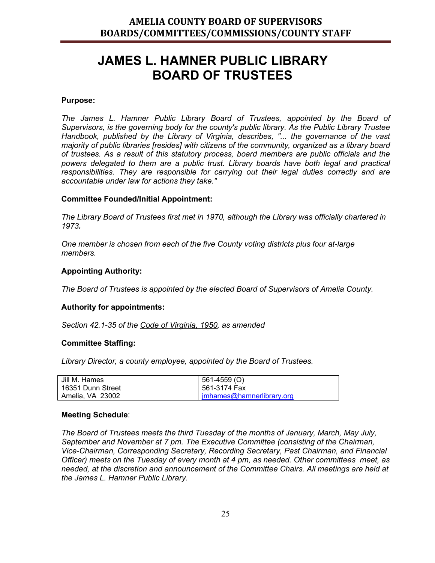## **JAMES L. HAMNER PUBLIC LIBRARY BOARD OF TRUSTEES**

#### **Purpose:**

*The James L. Hamner Public Library Board of Trustees, appointed by the Board of Supervisors, is the governing body for the county's public library. As the Public Library Trustee Handbook, published by the Library of Virginia, describes, "... the governance of the vast majority of public libraries [resides] with citizens of the community, organized as a library board of trustees. As a result of this statutory process, board members are public officials and the powers delegated to them are a public trust. Library boards have both legal and practical responsibilities. They are responsible for carrying out their legal duties correctly and are accountable under law for actions they take."*

#### **Committee Founded/Initial Appointment:**

*The Library Board of Trustees first met in 1970, although the Library was officially chartered in 1973.*

*One member is chosen from each of the five County voting districts plus four at-large members.*

#### **Appointing Authority:**

*The Board of Trustees is appointed by the elected Board of Supervisors of Amelia County.* 

#### **Authority for appointments:**

*Section 42.1-35 of the Code of Virginia, 1950, as amended*

#### **Committee Staffing:**

*Library Director, a county employee, appointed by the Board of Trustees.*

| Jill M. Hames     | 561-4559 (O)              |
|-------------------|---------------------------|
| 16351 Dunn Street | 561-3174 Fax              |
| Amelia. VA 23002  | imhames@hamnerlibrary.org |

#### **Meeting Schedule**:

*The Board of Trustees meets the third Tuesday of the months of January, March, May July, September and November at 7 pm. The Executive Committee (consisting of the Chairman, Vice-Chairman, Corresponding Secretary, Recording Secretary, Past Chairman, and Financial Officer) meets on the Tuesday of every month at 4 pm, as needed. Other committees meet, as needed, at the discretion and announcement of the Committee Chairs. All meetings are held at the James L. Hamner Public Library.*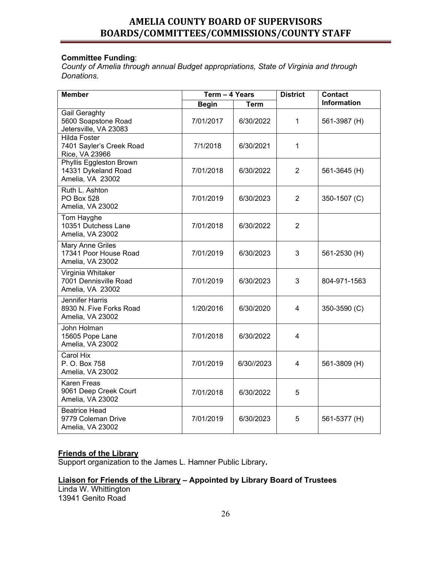#### **Committee Funding**:

*County of Amelia through annual Budget appropriations, State of Virginia and through Donations.*

| <b>Member</b>                                                         | Term - 4 Years |             | <b>District</b> | <b>Contact</b>     |
|-----------------------------------------------------------------------|----------------|-------------|-----------------|--------------------|
|                                                                       | <b>Begin</b>   | <b>Term</b> |                 | <b>Information</b> |
| Gail Geraghty<br>5600 Soapstone Road<br>Jetersville, VA 23083         | 7/01/2017      | 6/30/2022   | 1               | 561-3987 (H)       |
| <b>Hilda Foster</b><br>7401 Sayler's Creek Road<br>Rice, VA 23966     | 7/1/2018       | 6/30/2021   | 1               |                    |
| Phyllis Eggleston Brown<br>14331 Dykeland Road<br>Amelia, VA 23002    | 7/01/2018      | 6/30/2022   | $\overline{2}$  | 561-3645 (H)       |
| Ruth L. Ashton<br>PO Box 528<br>Amelia, VA 23002                      | 7/01/2019      | 6/30/2023   | $\overline{2}$  | 350-1507 (C)       |
| Tom Hayghe<br>10351 Dutchess Lane<br>Amelia, VA 23002                 | 7/01/2018      | 6/30/2022   | $\overline{2}$  |                    |
| Mary Anne Griles<br>17341 Poor House Road<br>Amelia, VA 23002         | 7/01/2019      | 6/30/2023   | 3               | 561-2530 (H)       |
| Virginia Whitaker<br>7001 Dennisville Road<br>Amelia, VA 23002        | 7/01/2019      | 6/30/2023   | 3               | 804-971-1563       |
| <b>Jennifer Harris</b><br>8930 N. Five Forks Road<br>Amelia, VA 23002 | 1/20/2016      | 6/30/2020   | $\overline{4}$  | 350-3590 (C)       |
| John Holman<br>15605 Pope Lane<br>Amelia, VA 23002                    | 7/01/2018      | 6/30/2022   | 4               |                    |
| Carol Hix<br>P. O. Box 758<br>Amelia, VA 23002                        | 7/01/2019      | 6/30//2023  | 4               | 561-3809 (H)       |
| Karen Freas<br>9061 Deep Creek Court<br>Amelia, VA 23002              | 7/01/2018      | 6/30/2022   | 5               |                    |
| <b>Beatrice Head</b><br>9779 Coleman Drive<br>Amelia, VA 23002        | 7/01/2019      | 6/30/2023   | 5               | 561-5377 (H)       |

#### **Friends of the Library**

Support organization to the James L. Hamner Public Library**.**

### **Liaison for Friends of the Library – Appointed by Library Board of Trustees**

Linda W. Whittington 13941 Genito Road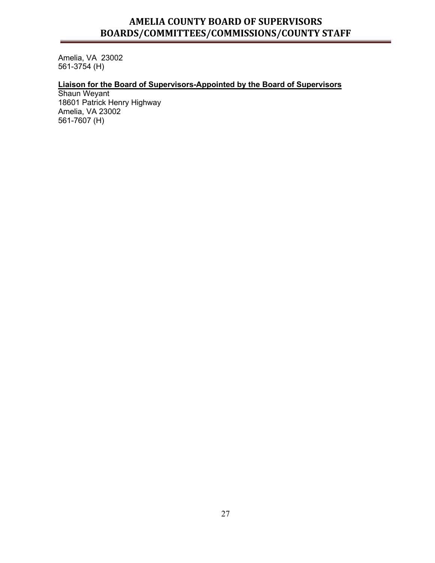Amelia, VA 23002 561-3754 (H)

#### **Liaison for the Board of Supervisors-Appointed by the Board of Supervisors**

Shaun Weyant 18601 Patrick Henry Highway Amelia, VA 23002 561-7607 (H)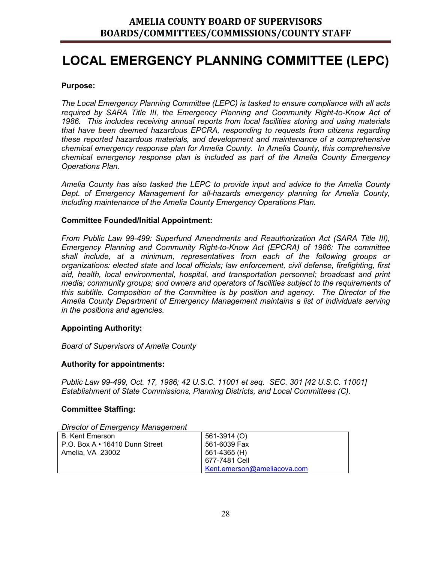## **LOCAL EMERGENCY PLANNING COMMITTEE (LEPC)**

#### **Purpose:**

*The Local Emergency Planning Committee (LEPC) is tasked to ensure compliance with all acts*  required by SARA Title III, the Emergency Planning and Community Right-to-Know Act of *1986. This includes receiving annual reports from local facilities storing and using materials that have been deemed hazardous EPCRA, responding to requests from citizens regarding these reported hazardous materials, and development and maintenance of a comprehensive chemical emergency response plan for Amelia County. In Amelia County, this comprehensive chemical emergency response plan is included as part of the Amelia County Emergency Operations Plan.*

*Amelia County has also tasked the LEPC to provide input and advice to the Amelia County Dept. of Emergency Management for all-hazards emergency planning for Amelia County, including maintenance of the Amelia County Emergency Operations Plan.*

#### **Committee Founded/Initial Appointment:**

*From Public Law 99-499: Superfund Amendments and Reauthorization Act (SARA Title III), Emergency Planning and Community Right-to-Know Act (EPCRA) of 1986: The committee shall include, at a minimum, representatives from each of the following groups or organizations: elected state and local officials; law enforcement, civil defense, firefighting, first aid, health, local environmental, hospital, and transportation personnel; broadcast and print media; community groups; and owners and operators of facilities subject to the requirements of this subtitle. Composition of the Committee is by position and agency. The Director of the Amelia County Department of Emergency Management maintains a list of individuals serving in the positions and agencies.*

#### **Appointing Authority:**

*Board of Supervisors of Amelia County*

#### **Authority for appointments:**

*Public Law 99-499, Oct. 17, 1986; 42 U.S.C. 11001 et seq. SEC. 301 [42 U.S.C. 11001] Establishment of State Commissions, Planning Districts, and Local Committees (C).*

#### **Committee Staffing:**

*Director of Emergency Management*

| l B. Kent Emerson.                | 561-3914 (O)                       |
|-----------------------------------|------------------------------------|
| I P.O. Box A ∙ 16410 Dunn Street_ | 561-6039 Fax                       |
| Amelia, VA 23002                  | 561-4365 (H)                       |
|                                   | 677-7481 Cell                      |
|                                   | $\mid$ Kent.emerson@ameliacova.com |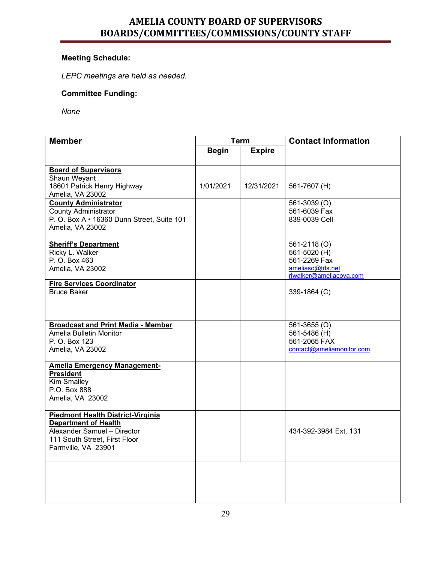### **Meeting Schedule:**

*LEPC meetings are held as needed.* 

#### **Committee Funding:**

*None*

| <b>Member</b>                                   | <b>Term</b>  |               | <b>Contact Information</b>   |  |
|-------------------------------------------------|--------------|---------------|------------------------------|--|
|                                                 | <b>Begin</b> | <b>Expire</b> |                              |  |
|                                                 |              |               |                              |  |
| <b>Board of Supervisors</b>                     |              |               |                              |  |
| Shaun Weyant                                    |              |               |                              |  |
| 18601 Patrick Henry Highway<br>Amelia, VA 23002 | 1/01/2021    | 12/31/2021    | 561-7607 (H)                 |  |
| <b>County Administrator</b>                     |              |               | 561-3039 (O)                 |  |
| <b>County Administrator</b>                     |              |               | 561-6039 Fax                 |  |
| P. O. Box A · 16360 Dunn Street, Suite 101      |              |               | 839-0039 Cell                |  |
| Amelia, VA 23002                                |              |               |                              |  |
|                                                 |              |               |                              |  |
| <b>Sheriff's Department</b>                     |              |               | 561-2118 (O)                 |  |
| Ricky L. Walker<br>P. O. Box 463                |              |               | 561-5020 (H)<br>561-2269 Fax |  |
| Amelia, VA 23002                                |              |               | ameliaso@tds.net             |  |
|                                                 |              |               | rlwalker@ameliacova.com      |  |
| <b>Fire Services Coordinator</b>                |              |               |                              |  |
| <b>Bruce Baker</b>                              |              |               | 339-1864 (C)                 |  |
|                                                 |              |               |                              |  |
|                                                 |              |               |                              |  |
| <b>Broadcast and Print Media - Member</b>       |              |               | 561-3655 (O)                 |  |
| Amelia Bulletin Monitor                         |              |               | 561-5486 (H)                 |  |
| P. O. Box 123                                   |              |               | 561-2065 FAX                 |  |
| Amelia, VA 23002                                |              |               | contact@ameliamonitor.com    |  |
| <b>Amelia Emergency Management-</b>             |              |               |                              |  |
| <b>President</b>                                |              |               |                              |  |
| <b>Kim Smalley</b>                              |              |               |                              |  |
| P.O. Box 888                                    |              |               |                              |  |
| Amelia, VA 23002                                |              |               |                              |  |
| <b>Piedmont Health District-Virginia</b>        |              |               |                              |  |
| <b>Department of Health</b>                     |              |               |                              |  |
| Alexander Samuel - Director                     |              |               | 434-392-3984 Ext. 131        |  |
| 111 South Street, First Floor                   |              |               |                              |  |
| Farmville, VA 23901                             |              |               |                              |  |
|                                                 |              |               |                              |  |
|                                                 |              |               |                              |  |
|                                                 |              |               |                              |  |
|                                                 |              |               |                              |  |
|                                                 |              |               |                              |  |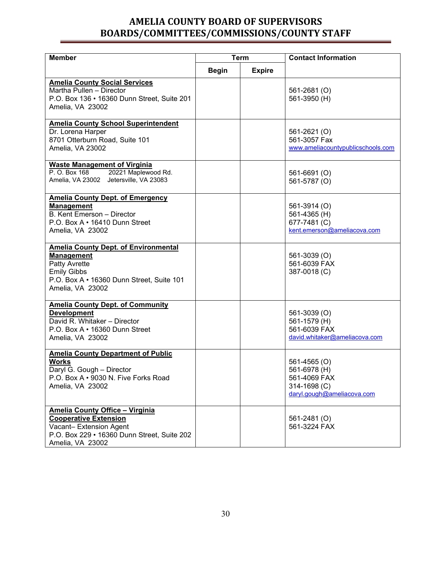| <b>Member</b>                                                                                                                                                                   | <b>Term</b>                   |  | <b>Contact Information</b>                                                                 |
|---------------------------------------------------------------------------------------------------------------------------------------------------------------------------------|-------------------------------|--|--------------------------------------------------------------------------------------------|
|                                                                                                                                                                                 | <b>Begin</b><br><b>Expire</b> |  |                                                                                            |
| <b>Amelia County Social Services</b><br>Martha Pullen - Director<br>P.O. Box 136 • 16360 Dunn Street, Suite 201<br>Amelia, VA 23002                                             |                               |  | 561-2681 (O)<br>561-3950 (H)                                                               |
| <b>Amelia County School Superintendent</b><br>Dr. Lorena Harper<br>8701 Otterburn Road, Suite 101<br>Amelia, VA 23002                                                           |                               |  | 561-2621 (O)<br>561-3057 Fax<br>www.ameliacountypublicschools.com                          |
| <b>Waste Management of Virginia</b><br>P. O. Box 168<br>20221 Maplewood Rd.<br>Amelia, VA 23002 Jetersville, VA 23083                                                           |                               |  | 561-6691 (O)<br>561-5787 (O)                                                               |
| <b>Amelia County Dept. of Emergency</b><br><b>Management</b><br>B. Kent Emerson - Director<br>P.O. Box A • 16410 Dunn Street<br>Amelia, VA 23002                                |                               |  | 561-3914 (O)<br>561-4365 (H)<br>677-7481 (C)<br>kent.emerson@ameliacova.com                |
| <b>Amelia County Dept. of Environmental</b><br><b>Management</b><br><b>Patty Avrette</b><br><b>Emily Gibbs</b><br>P.O. Box A • 16360 Dunn Street, Suite 101<br>Amelia, VA 23002 |                               |  | 561-3039 (O)<br>561-6039 FAX<br>387-0018 (C)                                               |
| <b>Amelia County Dept. of Community</b><br><b>Development</b><br>David R. Whitaker - Director<br>P.O. Box A • 16360 Dunn Street<br>Amelia, VA 23002                             |                               |  | 561-3039 (O)<br>561-1579 (H)<br>561-6039 FAX<br>david.whitaker@ameliacova.com              |
| <b>Amelia County Department of Public</b><br>Works<br>Daryl G. Gough - Director<br>P.O. Box A • 9030 N. Five Forks Road<br>Amelia, VA 23002                                     |                               |  | 561-4565 (O)<br>561-6978 (H)<br>561-4069 FAX<br>314-1698 (C)<br>daryl.gough@ameliacova.com |
| <b>Amelia County Office - Virginia</b><br><b>Cooperative Extension</b><br>Vacant-Extension Agent<br>P.O. Box 229 • 16360 Dunn Street, Suite 202<br>Amelia, VA 23002             |                               |  | 561-2481 (O)<br>561-3224 FAX                                                               |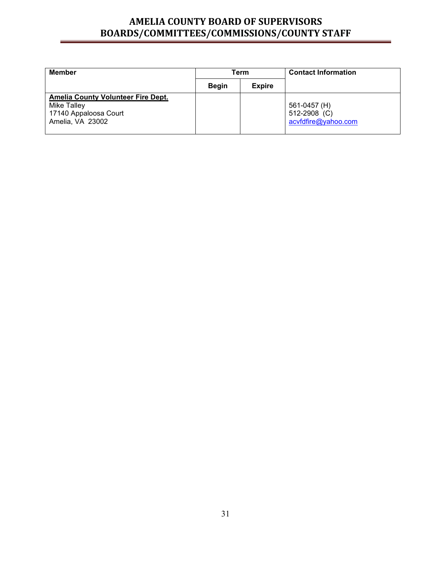| <b>Member</b>                                                                                                | Term         |               | <b>Contact Information</b>                          |
|--------------------------------------------------------------------------------------------------------------|--------------|---------------|-----------------------------------------------------|
|                                                                                                              | <b>Begin</b> | <b>Expire</b> |                                                     |
| <b>Amelia County Volunteer Fire Dept.</b><br><b>Mike Talley</b><br>17140 Appaloosa Court<br>Amelia, VA 23002 |              |               | 561-0457 (H)<br>512-2908 (C)<br>acvfdfire@yahoo.com |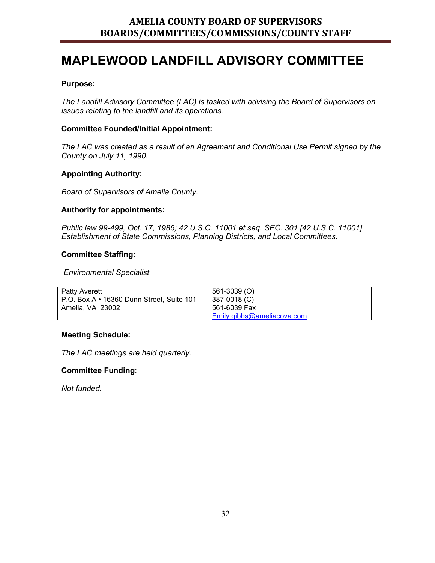## **MAPLEWOOD LANDFILL ADVISORY COMMITTEE**

#### **Purpose:**

*The Landfill Advisory Committee (LAC) is tasked with advising the Board of Supervisors on issues relating to the landfill and its operations.*

#### **Committee Founded/Initial Appointment:**

*The LAC was created as a result of an Agreement and Conditional Use Permit signed by the County on July 11, 1990.*

#### **Appointing Authority:**

*Board of Supervisors of Amelia County.*

#### **Authority for appointments:**

*Public law 99-499, Oct. 17, 1986; 42 U.S.C. 11001 et seq. SEC. 301 [42 U.S.C. 11001] Establishment of State Commissions, Planning Districts, and Local Committees.* 

#### **Committee Staffing:**

#### *Environmental Specialist*

| <b>Patty Averett</b>                      | 561-3039 (O)               |
|-------------------------------------------|----------------------------|
|                                           |                            |
| P.O. Box A • 16360 Dunn Street, Suite 101 | 387-0018 (C)               |
|                                           |                            |
| Amelia. VA 23002                          | 561-6039 Fax               |
|                                           |                            |
|                                           | Emily.gibbs@ameliacova.com |
|                                           |                            |

#### **Meeting Schedule:**

*The LAC meetings are held quarterly.*

#### **Committee Funding**:

*Not funded.*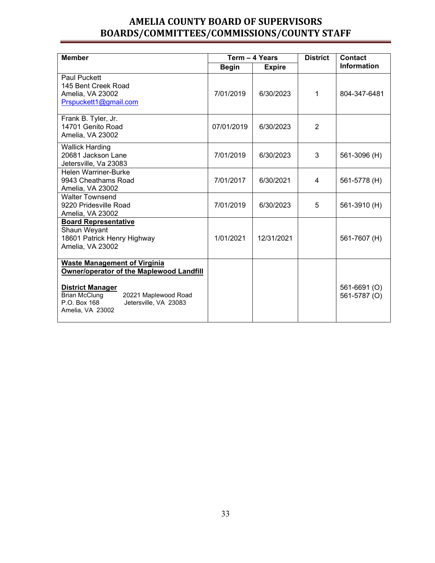| <b>Member</b>                                                                                                                                                                                                                  |              | Term - 4 Years | <b>District</b> | <b>Contact</b>               |
|--------------------------------------------------------------------------------------------------------------------------------------------------------------------------------------------------------------------------------|--------------|----------------|-----------------|------------------------------|
|                                                                                                                                                                                                                                | <b>Begin</b> | <b>Expire</b>  |                 | <b>Information</b>           |
| <b>Paul Puckett</b><br>145 Bent Creek Road<br>Amelia, VA 23002<br>Prspuckett1@gmail.com                                                                                                                                        | 7/01/2019    | 6/30/2023      | 1               | 804-347-6481                 |
| Frank B. Tyler, Jr.<br>14701 Genito Road<br>Amelia, VA 23002                                                                                                                                                                   | 07/01/2019   | 6/30/2023      | $\overline{2}$  |                              |
| <b>Wallick Harding</b><br>20681 Jackson Lane<br>Jetersville, Va 23083                                                                                                                                                          | 7/01/2019    | 6/30/2023      | 3               | 561-3096 (H)                 |
| <b>Helen Warriner-Burke</b><br>9943 Cheathams Road<br>Amelia, VA 23002                                                                                                                                                         | 7/01/2017    | 6/30/2021      | 4               | 561-5778 (H)                 |
| <b>Walter Townsend</b><br>9220 Pridesville Road<br>Amelia, VA 23002                                                                                                                                                            | 7/01/2019    | 6/30/2023      | 5               | 561-3910 (H)                 |
| <b>Board Representative</b><br>Shaun Weyant<br>18601 Patrick Henry Highway<br>Amelia, VA 23002                                                                                                                                 | 1/01/2021    | 12/31/2021     |                 | 561-7607 (H)                 |
| <b>Waste Management of Virginia</b><br><b>Owner/operator of the Maplewood Landfill</b><br><b>District Manager</b><br><b>Brian McClung</b><br>20221 Maplewood Road<br>P.O. Box 168<br>Jetersville, VA 23083<br>Amelia, VA 23002 |              |                |                 | 561-6691 (O)<br>561-5787 (O) |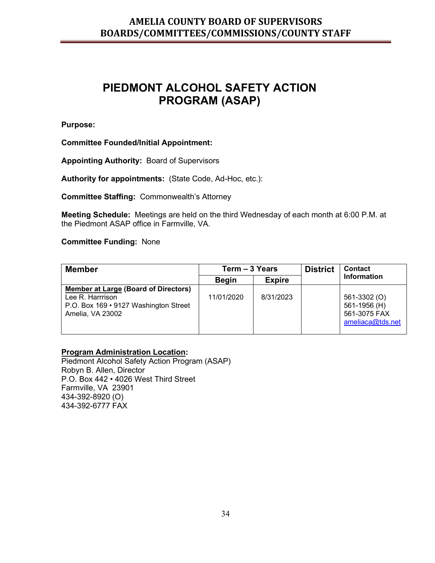## **PIEDMONT ALCOHOL SAFETY ACTION PROGRAM (ASAP)**

**Purpose:**

**Committee Founded/Initial Appointment:**

**Appointing Authority:** Board of Supervisors

**Authority for appointments:** (State Code, Ad-Hoc, etc.):

**Committee Staffing:** Commonwealth's Attorney

**Meeting Schedule:** Meetings are held on the third Wednesday of each month at 6:00 P.M. at the Piedmont ASAP office in Farmville, VA.

**Committee Funding:** None

| <b>Member</b>                                                                                                         | Term – 3 Years |               | <b>District</b> | <b>Contact</b>                                                   |
|-----------------------------------------------------------------------------------------------------------------------|----------------|---------------|-----------------|------------------------------------------------------------------|
|                                                                                                                       | <b>Begin</b>   | <b>Expire</b> |                 | <b>Information</b>                                               |
| Member at Large (Board of Directors)<br>Lee R. Harrrison<br>P.O. Box 169 • 9127 Washington Street<br>Amelia, VA 23002 | 11/01/2020     | 8/31/2023     |                 | 561-3302 (O)<br>561-1956 (H)<br>561-3075 FAX<br>ameliaca@tds.net |

#### **Program Administration Location:**

Piedmont Alcohol Safety Action Program (ASAP) Robyn B. Allen, Director P.O. Box 442 • 4026 West Third Street Farmville, VA 23901 434-392-8920 (O) 434-392-6777 FAX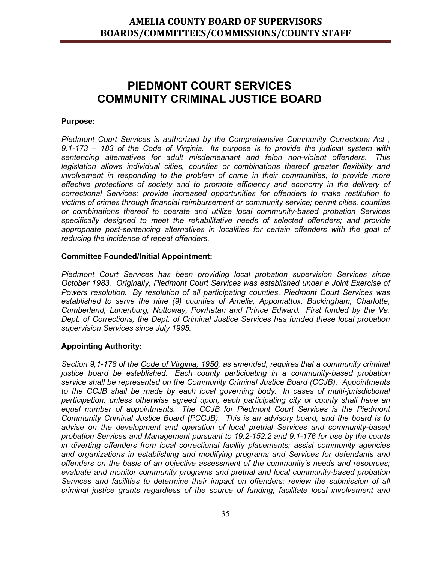## **PIEDMONT COURT SERVICES COMMUNITY CRIMINAL JUSTICE BOARD**

#### **Purpose:**

*Piedmont Court Services is authorized by the Comprehensive Community Corrections Act , 9.1-173 – 183 of the Code of Virginia. Its purpose is to provide the judicial system with sentencing alternatives for adult misdemeanant and felon non-violent offenders. This legislation allows individual cities, counties or combinations thereof greater flexibility and involvement in responding to the problem of crime in their communities; to provide more effective protections of society and to promote efficiency and economy in the delivery of correctional Services; provide increased opportunities for offenders to make restitution to victims of crimes through financial reimbursement or community service; permit cities, counties or combinations thereof to operate and utilize local community-based probation Services specifically designed to meet the rehabilitative needs of selected offenders; and provide appropriate post-sentencing alternatives in localities for certain offenders with the goal of reducing the incidence of repeat offenders.*

#### **Committee Founded/Initial Appointment:**

*Piedmont Court Services has been providing local probation supervision Services since October 1983. Originally, Piedmont Court Services was established under a Joint Exercise of Powers resolution. By resolution of all participating counties, Piedmont Court Services was established to serve the nine (9) counties of Amelia, Appomattox, Buckingham, Charlotte, Cumberland, Lunenburg, Nottoway, Powhatan and Prince Edward. First funded by the Va. Dept. of Corrections, the Dept. of Criminal Justice Services has funded these local probation supervision Services since July 1995.*

#### **Appointing Authority:**

*Section 9,1-178 of the Code of Virginia, 1950, as amended, requires that a community criminal justice board be established. Each county participating in a community-based probation service shall be represented on the Community Criminal Justice Board (CCJB). Appointments to the CCJB shall be made by each local governing body. In cases of multi-jurisdictional participation, unless otherwise agreed upon, each participating city or county shall have an equal number of appointments. The CCJB for Piedmont Court Services is the Piedmont Community Criminal Justice Board (PCCJB). This is an advisory board, and the board is to advise on the development and operation of local pretrial Services and community-based probation Services and Management pursuant to 19.2-152.2 and 9.1-176 for use by the courts in diverting offenders from local correctional facility placements; assist community agencies and organizations in establishing and modifying programs and Services for defendants and offenders on the basis of an objective assessment of the community's needs and resources; evaluate and monitor community programs and pretrial and local community-based probation Services and facilities to determine their impact on offenders; review the submission of all criminal justice grants regardless of the source of funding; facilitate local involvement and*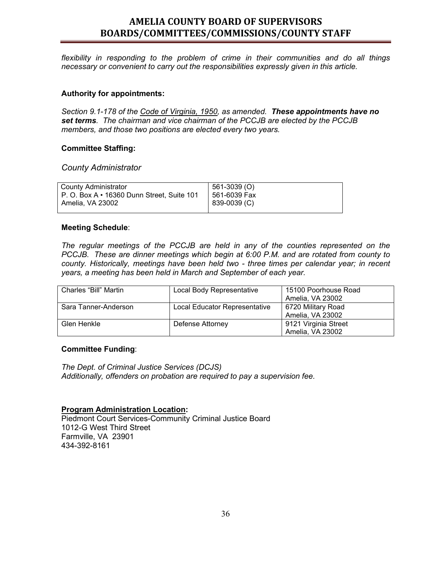*flexibility in responding to the problem of crime in their communities and do all things necessary or convenient to carry out the responsibilities expressly given in this article.*

#### **Authority for appointments:**

*Section 9.1-178 of the Code of Virginia, 1950, as amended. These appointments have no set terms. The chairman and vice chairman of the PCCJB are elected by the PCCJB members, and those two positions are elected every two years.*

#### **Committee Staffing:**

#### *County Administrator*

| County Administrator                             | 561-3039 (O) |
|--------------------------------------------------|--------------|
| P. O. Box $A \cdot 16360$ Dunn Street. Suite 101 | 561-6039 Fax |
| Amelia, VA 23002                                 | 839-0039 (C) |

#### **Meeting Schedule**:

*The regular meetings of the PCCJB are held in any of the counties represented on the PCCJB. These are dinner meetings which begin at 6:00 P.M. and are rotated from county to county. Historically, meetings have been held two - three times per calendar year; in recent years, a meeting has been held in March and September of each year.*

| Charles "Bill" Martin | Local Body Representative     | 15100 Poorhouse Road |
|-----------------------|-------------------------------|----------------------|
|                       |                               | Amelia, VA 23002     |
| Sara Tanner-Anderson  | Local Educator Representative | 6720 Military Road   |
|                       |                               | Amelia, VA 23002     |
| Glen Henkle           | Defense Attorney              | 9121 Virginia Street |
|                       |                               | Amelia, VA 23002     |

#### **Committee Funding**:

*The Dept. of Criminal Justice Services (DCJS) Additionally, offenders on probation are required to pay a supervision fee.*

#### **Program Administration Location:**

Piedmont Court Services-Community Criminal Justice Board 1012-G West Third Street Farmville, VA 23901 434-392-8161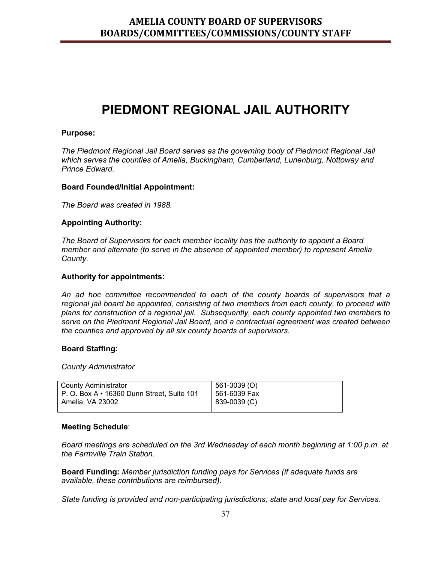## **PIEDMONT REGIONAL JAIL AUTHORITY**

#### **Purpose:**

*The Piedmont Regional Jail Board serves as the governing body of Piedmont Regional Jail which serves the counties of Amelia, Buckingham, Cumberland, Lunenburg, Nottoway and Prince Edward.* 

#### **Board Founded/Initial Appointment:**

*The Board was created in 1988.*

#### **Appointing Authority:**

*The Board of Supervisors for each member locality has the authority to appoint a Board member and alternate (to serve in the absence of appointed member) to represent Amelia County.* 

#### **Authority for appointments:**

*An ad hoc committee recommended to each of the county boards of supervisors that a regional jail board be appointed, consisting of two members from each county, to proceed with plans for construction of a regional jail. Subsequently, each county appointed two members to serve on the Piedmont Regional Jail Board, and a contractual agreement was created between the counties and approved by all six county boards of supervisors.*

#### **Board Staffing:**

#### *County Administrator*

| <b>County Administrator</b>                      | $  561-3039 (O)$ |
|--------------------------------------------------|------------------|
| P. O. Box $A \cdot 16360$ Dunn Street, Suite 101 | 1561-6039 Fax    |
| Amelia. VA 23002                                 | $ 839-0039(C) $  |
|                                                  |                  |

#### **Meeting Schedule**:

*Board meetings are scheduled on the 3rd Wednesday of each month beginning at 1:00 p.m. at the Farmville Train Station.* 

**Board Funding:** *Member jurisdiction funding pays for Services (if adequate funds are available, these contributions are reimbursed).*

*State funding is provided and non-participating jurisdictions, state and local pay for Services.*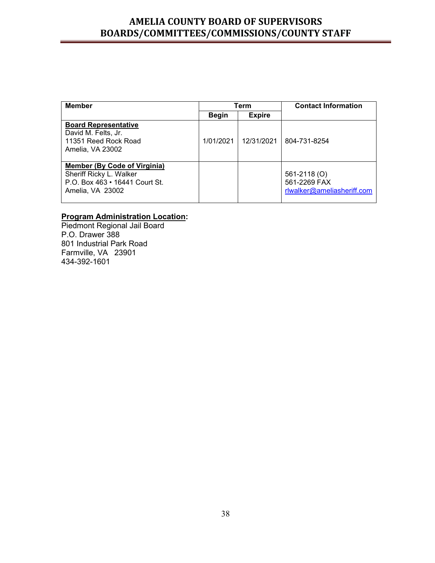| <b>Member</b>                                                                                                        |              | Term          | <b>Contact Information</b>                                 |
|----------------------------------------------------------------------------------------------------------------------|--------------|---------------|------------------------------------------------------------|
|                                                                                                                      | <b>Begin</b> | <b>Expire</b> |                                                            |
| <b>Board Representative</b><br>David M. Felts, Jr.<br>11351 Reed Rock Road<br>Amelia, VA 23002                       | 1/01/2021    | 12/31/2021    | 804-731-8254                                               |
| <b>Member (By Code of Virginia)</b><br>Sheriff Ricky L. Walker<br>P.O. Box 463 • 16441 Court St.<br>Amelia, VA 23002 |              |               | 561-2118 (O)<br>561-2269 FAX<br>rlwalker@ameliasheriff.com |

#### **Program Administration Location:**

Piedmont Regional Jail Board P.O. Drawer 388 801 Industrial Park Road Farmville, VA 23901 434-392-1601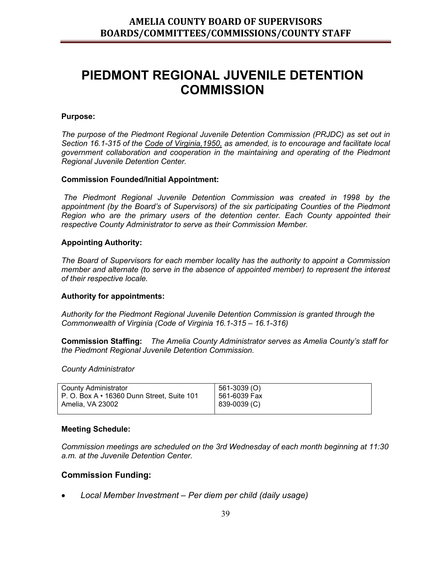## **PIEDMONT REGIONAL JUVENILE DETENTION COMMISSION**

#### **Purpose:**

*The purpose of the Piedmont Regional Juvenile Detention Commission (PRJDC) as set out in Section 16.1-315 of the Code of Virginia,1950, as amended, is to encourage and facilitate local government collaboration and cooperation in the maintaining and operating of the Piedmont Regional Juvenile Detention Center.*

#### **Commission Founded/Initial Appointment:**

*The Piedmont Regional Juvenile Detention Commission was created in 1998 by the appointment (by the Board's of Supervisors) of the six participating Counties of the Piedmont Region who are the primary users of the detention center. Each County appointed their respective County Administrator to serve as their Commission Member.*

#### **Appointing Authority:**

*The Board of Supervisors for each member locality has the authority to appoint a Commission member and alternate (to serve in the absence of appointed member) to represent the interest of their respective locale.*

#### **Authority for appointments:**

*Authority for the Piedmont Regional Juvenile Detention Commission is granted through the Commonwealth of Virginia (Code of Virginia 16.1-315 – 16.1-316)*

**Commission Staffing:** *The Amelia County Administrator serves as Amelia County's staff for the Piedmont Regional Juvenile Detention Commission.*

*County Administrator*

| County Administrator                             | 561-3039 (O) |
|--------------------------------------------------|--------------|
| P. O. Box $A \cdot 16360$ Dunn Street, Suite 101 | 561-6039 Fax |
| Amelia, VA 23002                                 | 839-0039 (C) |
|                                                  |              |

#### **Meeting Schedule:**

*Commission meetings are scheduled on the 3rd Wednesday of each month beginning at 11:30 a.m. at the Juvenile Detention Center.* 

#### **Commission Funding:**

• *Local Member Investment – Per diem per child (daily usage)*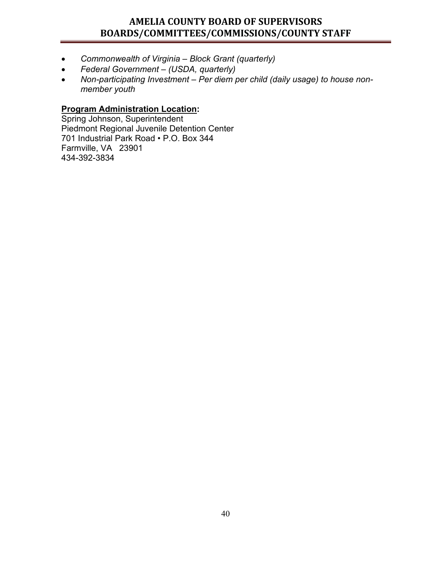- *Commonwealth of Virginia – Block Grant (quarterly)*
- *Federal Government – (USDA, quarterly)*
- *Non-participating Investment – Per diem per child (daily usage) to house nonmember youth*

### **Program Administration Location:**

Spring Johnson, Superintendent Piedmont Regional Juvenile Detention Center 701 Industrial Park Road • P.O. Box 344 Farmville, VA 23901 434-392-3834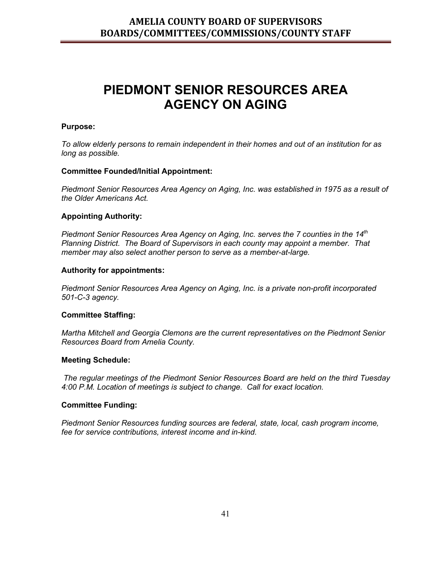## **PIEDMONT SENIOR RESOURCES AREA AGENCY ON AGING**

#### **Purpose:**

*To allow elderly persons to remain independent in their homes and out of an institution for as long as possible.*

#### **Committee Founded/Initial Appointment:**

*Piedmont Senior Resources Area Agency on Aging, Inc. was established in 1975 as a result of the Older Americans Act.*

#### **Appointing Authority:**

*Piedmont Senior Resources Area Agency on Aging, Inc. serves the 7 counties in the 14<sup>th</sup> Planning District. The Board of Supervisors in each county may appoint a member. That member may also select another person to serve as a member-at-large.*

#### **Authority for appointments:**

*Piedmont Senior Resources Area Agency on Aging, Inc. is a private non-profit incorporated 501-C-3 agency.*

#### **Committee Staffing:**

*Martha Mitchell and Georgia Clemons are the current representatives on the Piedmont Senior Resources Board from Amelia County.* 

#### **Meeting Schedule:**

*The regular meetings of the Piedmont Senior Resources Board are held on the third Tuesday 4:00 P.M. Location of meetings is subject to change. Call for exact location.* 

#### **Committee Funding:**

*Piedmont Senior Resources funding sources are federal, state, local, cash program income, fee for service contributions, interest income and in-kind.*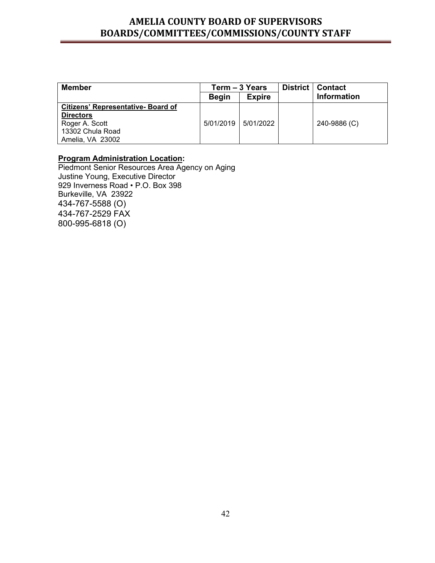| <b>Member</b>                             |              | Term - 3 Years | District | <b>Contact</b>     |
|-------------------------------------------|--------------|----------------|----------|--------------------|
|                                           | <b>Begin</b> | <b>Expire</b>  |          | <b>Information</b> |
| <b>Citizens' Representative- Board of</b> |              |                |          |                    |
| <b>Directors</b>                          |              |                |          |                    |
| Roger A. Scott                            | 5/01/2019    | 5/01/2022      |          | 240-9886 (C)       |
| 13302 Chula Road                          |              |                |          |                    |
| Amelia, VA 23002                          |              |                |          |                    |

#### **Program Administration Location:**

Piedmont Senior Resources Area Agency on Aging Justine Young, Executive Director 929 Inverness Road • P.O. Box 398 Burkeville, VA 23922 434-767-5588 (O) 434-767-2529 FAX 800-995-6818 (O)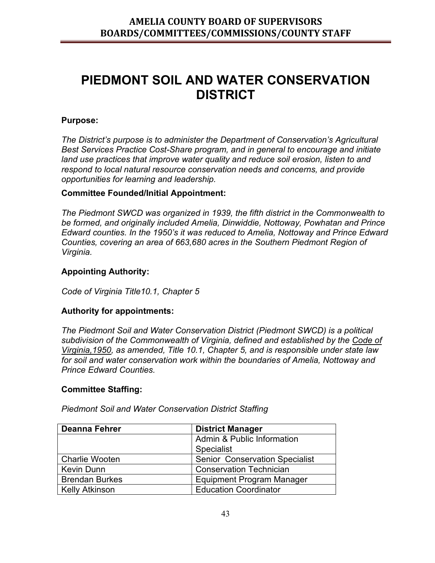## **PIEDMONT SOIL AND WATER CONSERVATION DISTRICT**

### **Purpose:**

*The District's purpose is to administer the Department of Conservation's Agricultural Best Services Practice Cost-Share program, and in general to encourage and initiate land use practices that improve water quality and reduce soil erosion, listen to and respond to local natural resource conservation needs and concerns, and provide opportunities for learning and leadership.* 

#### **Committee Founded/Initial Appointment:**

*The Piedmont SWCD was organized in 1939, the fifth district in the Commonwealth to be formed, and originally included Amelia, Dinwiddie, Nottoway, Powhatan and Prince Edward counties. In the 1950's it was reduced to Amelia, Nottoway and Prince Edward Counties, covering an area of 663,680 acres in the Southern Piedmont Region of Virginia.* 

#### **Appointing Authority:**

*Code of Virginia Title10.1, Chapter 5*

#### **Authority for appointments:**

*The Piedmont Soil and Water Conservation District (Piedmont SWCD) is a political subdivision of the Commonwealth of Virginia, defined and established by the Code of Virginia,1950, as amended, Title 10.1, Chapter 5, and is responsible under state law for soil and water conservation work within the boundaries of Amelia, Nottoway and Prince Edward Counties.* 

#### **Committee Staffing:**

| Deanna Fehrer         | <b>District Manager</b>               |
|-----------------------|---------------------------------------|
|                       | Admin & Public Information            |
|                       | <b>Specialist</b>                     |
| <b>Charlie Wooten</b> | <b>Senior Conservation Specialist</b> |
| <b>Kevin Dunn</b>     | <b>Conservation Technician</b>        |
| <b>Brendan Burkes</b> | Equipment Program Manager             |
| <b>Kelly Atkinson</b> | <b>Education Coordinator</b>          |

*Piedmont Soil and Water Conservation District Staffing*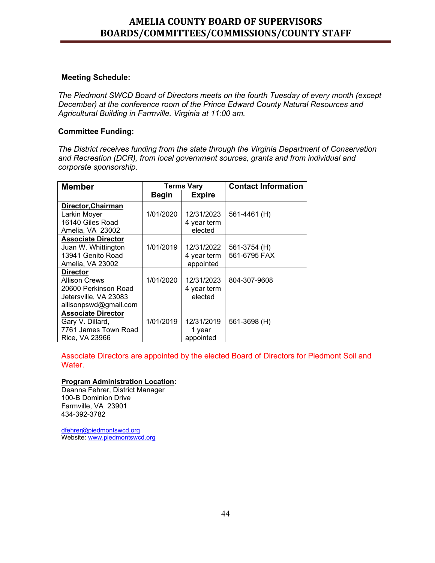#### **Meeting Schedule:**

*The Piedmont SWCD Board of Directors meets on the fourth Tuesday of every month (except December) at the conference room of the Prince Edward County Natural Resources and Agricultural Building in Farmville, Virginia at 11:00 am.* 

#### **Committee Funding:**

*The District receives funding from the state through the Virginia Department of Conservation and Recreation (DCR), from local government sources, grants and from individual and corporate sponsorship.* 

| <b>Member</b>             | <b>Terms Vary</b> |               | <b>Contact Information</b> |
|---------------------------|-------------------|---------------|----------------------------|
|                           | <b>Begin</b>      | <b>Expire</b> |                            |
| Director, Chairman        |                   |               |                            |
| Larkin Moyer              | 1/01/2020         | 12/31/2023    | 561-4461 (H)               |
| 16140 Giles Road          |                   | 4 year term   |                            |
| Amelia, VA 23002          |                   | elected       |                            |
| <b>Associate Director</b> |                   |               |                            |
| Juan W. Whittington       | 1/01/2019         | 12/31/2022    | 561-3754 (H)               |
| 13941 Genito Road         |                   | 4 year term   | 561-6795 FAX               |
| Amelia, VA 23002          |                   | appointed     |                            |
| <b>Director</b>           |                   |               |                            |
| <b>Allison Crews</b>      | 1/01/2020         | 12/31/2023    | 804-307-9608               |
| 20600 Perkinson Road      |                   | 4 year term   |                            |
| Jetersville, VA 23083     |                   | elected       |                            |
| allisonpswd@gmail.com     |                   |               |                            |
| <b>Associate Director</b> |                   |               |                            |
| Gary V. Dillard,          | 1/01/2019         | 12/31/2019    | 561-3698 (H)               |
| 7761 James Town Road      |                   | 1 year        |                            |
| Rice, VA 23966            |                   | appointed     |                            |

Associate Directors are appointed by the elected Board of Directors for Piedmont Soil and Water.

#### **Program Administration Location:**

Deanna Fehrer, District Manager 100-B Dominion Drive Farmville, VA 23901 434-392-3782

[dfehrer@piedmontswcd.org](mailto:dfehrer@piedmontswcd.org) Website: [www.piedmontswcd.org](http://www.piedmontswcd.org/)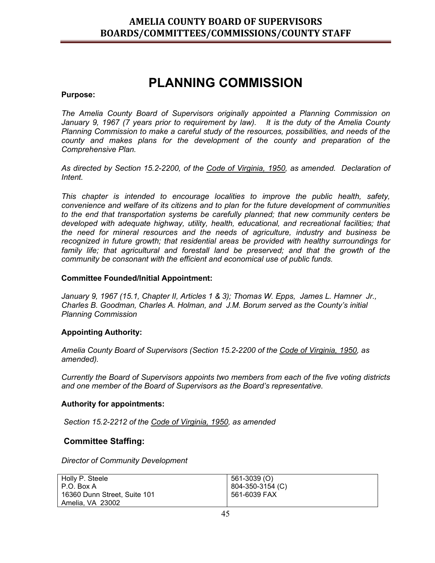## **PLANNING COMMISSION**

#### **Purpose:**

*The Amelia County Board of Supervisors originally appointed a Planning Commission on January 9, 1967 (7 years prior to requirement by law). It is the duty of the Amelia County Planning Commission to make a careful study of the resources, possibilities, and needs of the county and makes plans for the development of the county and preparation of the Comprehensive Plan.*

*As directed by Section 15.2-2200, of the Code of Virginia, 1950, as amended. Declaration of Intent.*

*This chapter is intended to encourage localities to improve the public health, safety, convenience and welfare of its citizens and to plan for the future development of communities to the end that transportation systems be carefully planned; that new community centers be developed with adequate highway, utility, health, educational, and recreational facilities; that the need for mineral resources and the needs of agriculture, industry and business be recognized in future growth; that residential areas be provided with healthy surroundings for family life; that agricultural and forestall land be preserved; and that the growth of the community be consonant with the efficient and economical use of public funds.*

#### **Committee Founded/Initial Appointment:**

*January 9, 1967 (15.1, Chapter II, Articles 1 & 3); Thomas W. Epps, James L. Hamner Jr., Charles B. Goodman, Charles A. Holman, and J.M. Borum served as the County's initial Planning Commission*

#### **Appointing Authority:**

*Amelia County Board of Supervisors (Section 15.2-2200 of the Code of Virginia, 1950, as amended).*

*Currently the Board of Supervisors appoints two members from each of the five voting districts and one member of the Board of Supervisors as the Board's representative.*

#### **Authority for appointments:**

*Section 15.2-2212 of the Code of Virginia, 1950, as amended*

#### **Committee Staffing:**

*Director of Community Development*

| Holly P. Steele              | 561-3039 (O)     |
|------------------------------|------------------|
| P.O. Box A                   | 804-350-3154 (C) |
| 16360 Dunn Street, Suite 101 | 561-6039 FAX     |
| Amelia, VA 23002             |                  |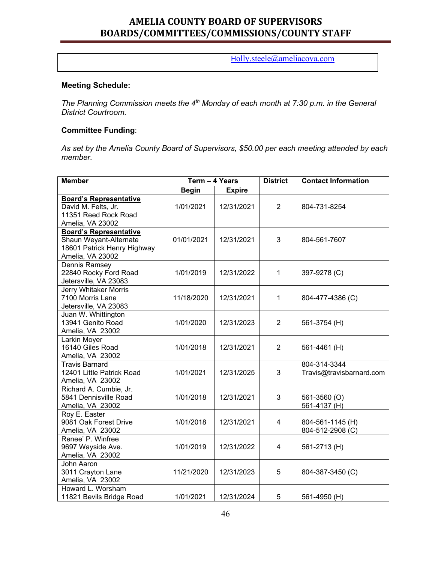H[olly.steele@ameliacova.com](mailto:david.whitaker@ameliacova.com)

#### **Meeting Schedule:**

*The Planning Commission meets the 4<sup>th</sup> Monday of each month at 7:30 p.m. in the General District Courtroom.*

#### **Committee Funding**:

*As set by the Amelia County Board of Supervisors, \$50.00 per each meeting attended by each member.*

| <b>Member</b>                 | Term - 4 Years |               | <b>District</b> | <b>Contact Information</b> |
|-------------------------------|----------------|---------------|-----------------|----------------------------|
|                               | <b>Begin</b>   | <b>Expire</b> |                 |                            |
| <b>Board's Representative</b> |                |               |                 |                            |
| David M. Felts, Jr.           | 1/01/2021      | 12/31/2021    | $\overline{2}$  | 804-731-8254               |
| 11351 Reed Rock Road          |                |               |                 |                            |
| Amelia, VA 23002              |                |               |                 |                            |
| <b>Board's Representative</b> |                |               |                 |                            |
| Shaun Weyant-Alternate        | 01/01/2021     | 12/31/2021    | 3               | 804-561-7607               |
| 18601 Patrick Henry Highway   |                |               |                 |                            |
| Amelia, VA 23002              |                |               |                 |                            |
| Dennis Ramsey                 |                |               |                 |                            |
| 22840 Rocky Ford Road         | 1/01/2019      | 12/31/2022    | 1               | 397-9278 (C)               |
| Jetersville, VA 23083         |                |               |                 |                            |
| <b>Jerry Whitaker Morris</b>  |                |               |                 |                            |
| 7100 Morris Lane              | 11/18/2020     | 12/31/2021    | 1               | 804-477-4386 (C)           |
| Jetersville, VA 23083         |                |               |                 |                            |
| Juan W. Whittington           |                |               |                 |                            |
| 13941 Genito Road             | 1/01/2020      | 12/31/2023    | $\overline{2}$  | 561-3754 (H)               |
| Amelia, VA 23002              |                |               |                 |                            |
| Larkin Moyer                  |                |               |                 |                            |
| 16140 Giles Road              | 1/01/2018      | 12/31/2021    | $\overline{2}$  | 561-4461 (H)               |
| Amelia, VA 23002              |                |               |                 |                            |
| <b>Travis Barnard</b>         |                |               |                 | 804-314-3344               |
| 12401 Little Patrick Road     | 1/01/2021      | 12/31/2025    | 3               | Travis@travisbarnard.com   |
| Amelia, VA 23002              |                |               |                 |                            |
| Richard A. Cumbie, Jr.        |                |               |                 |                            |
| 5841 Dennisville Road         | 1/01/2018      | 12/31/2021    | 3               | 561-3560 (O)               |
| Amelia, VA 23002              |                |               |                 | 561-4137 (H)               |
| Roy E. Easter                 |                |               |                 |                            |
| 9081 Oak Forest Drive         | 1/01/2018      | 12/31/2021    | 4               | 804-561-1145 (H)           |
| Amelia, VA 23002              |                |               |                 | 804-512-2908 (C)           |
| Renee' P. Winfree             |                |               |                 |                            |
| 9697 Wayside Ave.             | 1/01/2019      | 12/31/2022    | 4               | 561-2713 (H)               |
| Amelia, VA 23002              |                |               |                 |                            |
| John Aaron                    |                |               |                 |                            |
| 3011 Crayton Lane             | 11/21/2020     | 12/31/2023    | 5               | 804-387-3450 (C)           |
| Amelia, VA 23002              |                |               |                 |                            |
| Howard L. Worsham             |                |               |                 |                            |
| 11821 Bevils Bridge Road      | 1/01/2021      | 12/31/2024    | 5               | 561-4950 (H)               |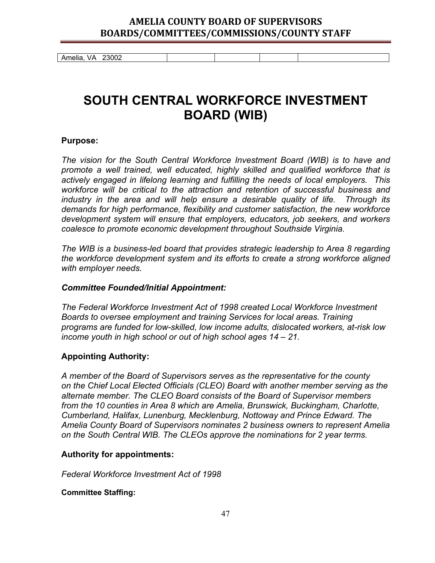Amelia, VA 23002

## **SOUTH CENTRAL WORKFORCE INVESTMENT BOARD (WIB)**

#### **Purpose:**

*The vision for the South Central Workforce Investment Board (WIB) is to have and promote a well trained, well educated, highly skilled and qualified workforce that is actively engaged in lifelong learning and fulfilling the needs of local employers. This workforce will be critical to the attraction and retention of successful business and industry in the area and will help ensure a desirable quality of life. Through its demands for high performance, flexibility and customer satisfaction, the new workforce development system will ensure that employers, educators, job seekers, and workers coalesce to promote economic development throughout Southside Virginia.* 

*The WIB is a business-led board that provides strategic leadership to Area 8 regarding the workforce development system and its efforts to create a strong workforce aligned with employer needs.* 

#### *Committee Founded/Initial Appointment:*

*The Federal Workforce Investment Act of 1998 created Local Workforce Investment Boards to oversee employment and training Services for local areas. Training programs are funded for low-skilled, low income adults, dislocated workers, at-risk low income youth in high school or out of high school ages 14 – 21.*

#### **Appointing Authority:**

*A member of the Board of Supervisors serves as the representative for the county on the Chief Local Elected Officials (CLEO) Board with another member serving as the alternate member. The CLEO Board consists of the Board of Supervisor members from the 10 counties in Area 8 which are Amelia, Brunswick, Buckingham, Charlotte, Cumberland, Halifax, Lunenburg, Mecklenburg, Nottoway and Prince Edward. The Amelia County Board of Supervisors nominates 2 business owners to represent Amelia on the South Central WIB. The CLEOs approve the nominations for 2 year terms.*

#### **Authority for appointments:**

*Federal Workforce Investment Act of 1998*

#### **Committee Staffing:**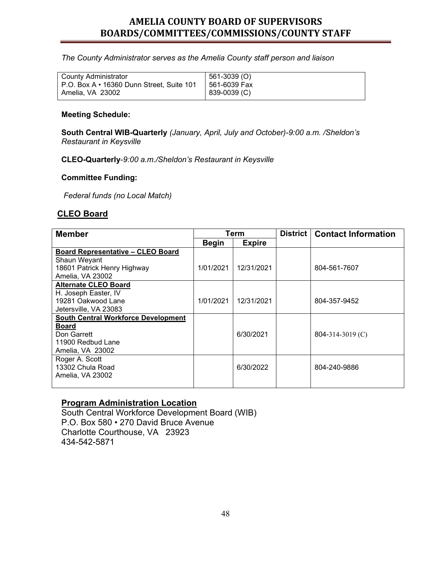*The County Administrator serves as the Amelia County staff person and liaison* 

| <b>County Administrator</b>               | 561-3039 (O) |
|-------------------------------------------|--------------|
| P.O. Box A • 16360 Dunn Street, Suite 101 | 561-6039 Fax |
| Amelia, VA 23002                          | 839-0039 (C) |

#### **Meeting Schedule:**

**South Central WIB-Quarterly** *(January, April, July and October)-9:00 a.m. /Sheldon's Restaurant in Keysville*

**CLEO-Quarterly**-*9:00 a.m./Sheldon's Restaurant in Keysville* 

#### **Committee Funding:**

*Federal funds (no Local Match)*

#### **CLEO Board**

| <b>Member</b>                              | Term         |               | <b>District</b> | <b>Contact Information</b> |
|--------------------------------------------|--------------|---------------|-----------------|----------------------------|
|                                            | <b>Begin</b> | <b>Expire</b> |                 |                            |
| <b>Board Representative - CLEO Board</b>   |              |               |                 |                            |
| Shaun Weyant                               |              |               |                 |                            |
| 18601 Patrick Henry Highway                | 1/01/2021    | 12/31/2021    |                 | 804-561-7607               |
| Amelia, VA 23002                           |              |               |                 |                            |
| <b>Alternate CLEO Board</b>                |              |               |                 |                            |
| H. Joseph Easter, IV                       |              |               |                 |                            |
| 19281 Oakwood Lane                         | 1/01/2021    | 12/31/2021    |                 | 804-357-9452               |
| Jetersville, VA 23083                      |              |               |                 |                            |
| <b>South Central Workforce Development</b> |              |               |                 |                            |
| <b>Board</b>                               |              |               |                 |                            |
| Don Garrett                                |              | 6/30/2021     |                 | $804 - 314 - 3019$ (C)     |
| 11900 Redbud Lane                          |              |               |                 |                            |
| Amelia, VA 23002                           |              |               |                 |                            |
| Roger A. Scott                             |              |               |                 |                            |
| 13302 Chula Road                           |              | 6/30/2022     |                 | 804-240-9886               |
| Amelia, VA 23002                           |              |               |                 |                            |
|                                            |              |               |                 |                            |

#### **Program Administration Location**

South Central Workforce Development Board (WIB) P.O. Box 580 • 270 David Bruce Avenue Charlotte Courthouse, VA 23923 434-542-5871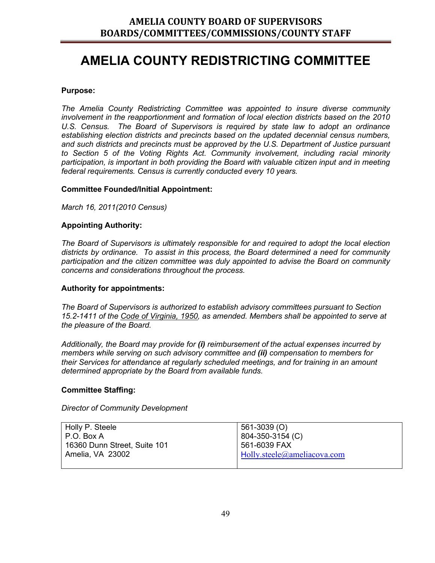## **AMELIA COUNTY REDISTRICTING COMMITTEE**

#### **Purpose:**

*The Amelia County Redistricting Committee was appointed to insure diverse community involvement in the reapportionment and formation of local election districts based on the 2010 U.S. Census. The Board of Supervisors is required by state law to adopt an ordinance establishing election districts and precincts based on the updated decennial census numbers, and such districts and precincts must be approved by the U.S. Department of Justice pursuant to Section 5 of the Voting Rights Act. Community involvement, including racial minority participation, is important in both providing the Board with valuable citizen input and in meeting federal requirements. Census is currently conducted every 10 years.*

#### **Committee Founded/Initial Appointment:**

*March 16, 2011(2010 Census)*

#### **Appointing Authority:**

*The Board of Supervisors is ultimately responsible for and required to adopt the local election districts by ordinance. To assist in this process, the Board determined a need for community participation and the citizen committee was duly appointed to advise the Board on community concerns and considerations throughout the process.* 

#### **Authority for appointments:**

*The Board of Supervisors is authorized to establish advisory committees pursuant to Section 15.2-1411 of the Code of Virginia, 1950, as amended. Members shall be appointed to serve at the pleasure of the Board.* 

*Additionally, the Board may provide for (i) reimbursement of the actual expenses incurred by members while serving on such advisory committee and (ii) compensation to members for their Services for attendance at regularly scheduled meetings, and for training in an amount determined appropriate by the Board from available funds.* 

#### **Committee Staffing:**

*Director of Community Development*

| Holly P. Steele              | 561-3039 (O)                       |
|------------------------------|------------------------------------|
| P.O. Box A                   | 804-350-3154 (C)                   |
| 16360 Dunn Street, Suite 101 | 561-6039 FAX                       |
| Amelia, VA 23002             | $\mid$ Holly.steele@ameliacova.com |
|                              |                                    |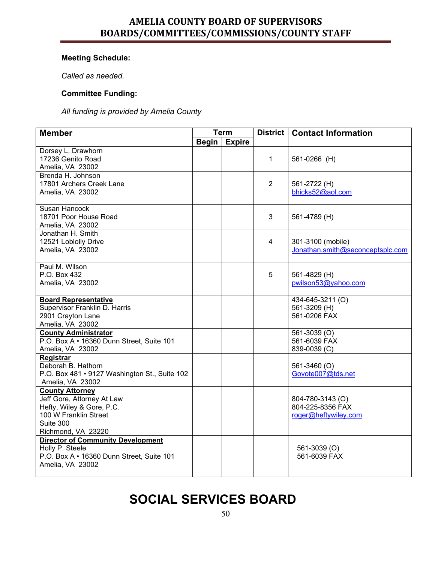### **Meeting Schedule:**

*Called as needed.*

#### **Committee Funding:**

*All funding is provided by Amelia County*

| <b>Member</b>                                                 | <b>Term</b>  |               | <b>District</b> | <b>Contact Information</b>       |
|---------------------------------------------------------------|--------------|---------------|-----------------|----------------------------------|
|                                                               | <b>Begin</b> | <b>Expire</b> |                 |                                  |
| Dorsey L. Drawhorn                                            |              |               |                 |                                  |
| 17236 Genito Road                                             |              |               | 1               | 561-0266 (H)                     |
| Amelia, VA 23002                                              |              |               |                 |                                  |
| Brenda H. Johnson                                             |              |               |                 |                                  |
| 17801 Archers Creek Lane                                      |              |               | $\overline{2}$  | 561-2722 (H)                     |
| Amelia, VA 23002                                              |              |               |                 | bhicks52@aol.com                 |
| <b>Susan Hancock</b>                                          |              |               |                 |                                  |
| 18701 Poor House Road                                         |              |               | 3               | 561-4789 (H)                     |
| Amelia, VA 23002                                              |              |               |                 |                                  |
| Jonathan H. Smith                                             |              |               |                 |                                  |
| 12521 Loblolly Drive                                          |              |               | 4               | 301-3100 (mobile)                |
| Amelia, VA 23002                                              |              |               |                 | Jonathan.smith@seconceptsplc.com |
| Paul M. Wilson                                                |              |               |                 |                                  |
| P.O. Box 432                                                  |              |               | 5               | 561-4829 (H)                     |
| Amelia, VA 23002                                              |              |               |                 | pwilson53@yahoo.com              |
| <b>Board Representative</b>                                   |              |               |                 | 434-645-3211 (O)                 |
| Supervisor Franklin D. Harris                                 |              |               |                 | 561-3209 (H)                     |
| 2901 Crayton Lane                                             |              |               |                 | 561-0206 FAX                     |
| Amelia, VA 23002                                              |              |               |                 |                                  |
| <b>County Administrator</b>                                   |              |               |                 | 561-3039 (O)                     |
| P.O. Box A · 16360 Dunn Street, Suite 101                     |              |               |                 | 561-6039 FAX                     |
| Amelia, VA 23002                                              |              |               |                 | 839-0039 (C)                     |
| Registrar                                                     |              |               |                 |                                  |
| Deborah B. Hathorn                                            |              |               |                 | 561-3460 (O)                     |
| P.O. Box 481 • 9127 Washington St., Suite 102                 |              |               |                 | Govote007@tds.net                |
| Amelia, VA 23002                                              |              |               |                 |                                  |
| <b>County Attorney</b>                                        |              |               |                 |                                  |
| Jeff Gore, Attorney At Law                                    |              |               |                 | 804-780-3143 (O)                 |
| Hefty, Wiley & Gore, P.C.                                     |              |               |                 | 804-225-8356 FAX                 |
| 100 W Franklin Street                                         |              |               |                 | roger@heftywiley.com             |
| Suite 300                                                     |              |               |                 |                                  |
| Richmond, VA 23220                                            |              |               |                 |                                  |
| <b>Director of Community Development</b>                      |              |               |                 |                                  |
| Holly P. Steele                                               |              |               |                 | 561-3039 (O)<br>561-6039 FAX     |
| P.O. Box A · 16360 Dunn Street, Suite 101<br>Amelia, VA 23002 |              |               |                 |                                  |
|                                                               |              |               |                 |                                  |

## **SOCIAL SERVICES BOARD**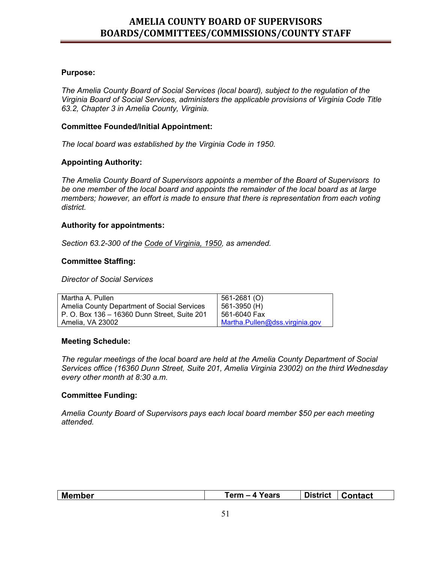#### **Purpose:**

*The Amelia County Board of Social Services (local board), subject to the regulation of the Virginia Board of Social Services, administers the applicable provisions of Virginia Code Title 63.2, Chapter 3 in Amelia County, Virginia.* 

#### **Committee Founded/Initial Appointment:**

*The local board was established by the Virginia Code in 1950.*

#### **Appointing Authority:**

*The Amelia County Board of Supervisors appoints a member of the Board of Supervisors to be one member of the local board and appoints the remainder of the local board as at large members; however, an effort is made to ensure that there is representation from each voting district.*

#### **Authority for appointments:**

*Section 63.2-300 of the Code of Virginia, 1950, as amended.*

#### **Committee Staffing:**

*Director of Social Services*

| Martha A. Pullen                             | 561-2681 (O)                   |
|----------------------------------------------|--------------------------------|
| Amelia County Department of Social Services  | 561-3950 (H)                   |
| P. O. Box 136 – 16360 Dunn Street, Suite 201 | 561-6040 Fax                   |
| Amelia. VA 23002                             | Martha.Pullen@dss.virginia.gov |

#### **Meeting Schedule:**

*The regular meetings of the local board are held at the Amelia County Department of Social Services office (16360 Dunn Street, Suite 201, Amelia Virginia 23002) on the third Wednesday every other month at 8:30 a.m.* 

#### **Committee Funding:**

*Amelia County Board of Supervisors pays each local board member \$50 per each meeting attended.*

| Member | Years<br>Term –<br>$-4$ | <b>District</b> | <b>Contact</b> |
|--------|-------------------------|-----------------|----------------|
|        |                         |                 |                |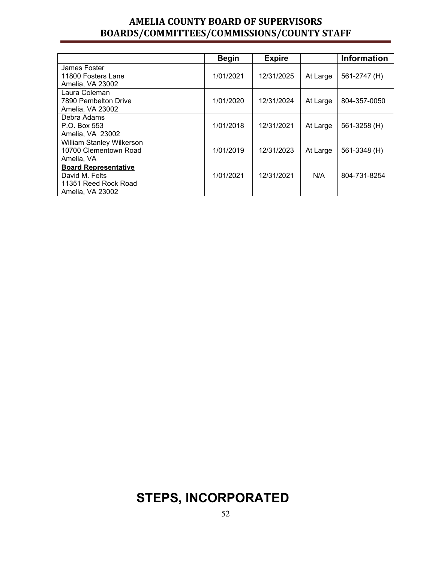|                                  | <b>Begin</b> | <b>Expire</b> |          | <b>Information</b> |
|----------------------------------|--------------|---------------|----------|--------------------|
| James Foster                     |              |               |          |                    |
| 11800 Fosters Lane               | 1/01/2021    | 12/31/2025    | At Large | 561-2747 (H)       |
| Amelia, VA 23002                 |              |               |          |                    |
| Laura Coleman                    |              |               |          |                    |
| 7890 Pembelton Drive             | 1/01/2020    | 12/31/2024    | At Large | 804-357-0050       |
| Amelia, VA 23002                 |              |               |          |                    |
| Debra Adams                      |              |               |          |                    |
| P.O. Box 553                     | 1/01/2018    | 12/31/2021    | At Large | 561-3258 (H)       |
| Amelia, VA 23002                 |              |               |          |                    |
| <b>William Stanley Wilkerson</b> |              |               |          |                    |
| 10700 Clementown Road            | 1/01/2019    | 12/31/2023    | At Large | 561-3348 (H)       |
| Amelia, VA                       |              |               |          |                    |
| <b>Board Representative</b>      |              |               |          |                    |
| David M. Felts                   | 1/01/2021    | 12/31/2021    | N/A      | 804-731-8254       |
| 11351 Reed Rock Road             |              |               |          |                    |
| Amelia, VA 23002                 |              |               |          |                    |

## **STEPS, INCORPORATED**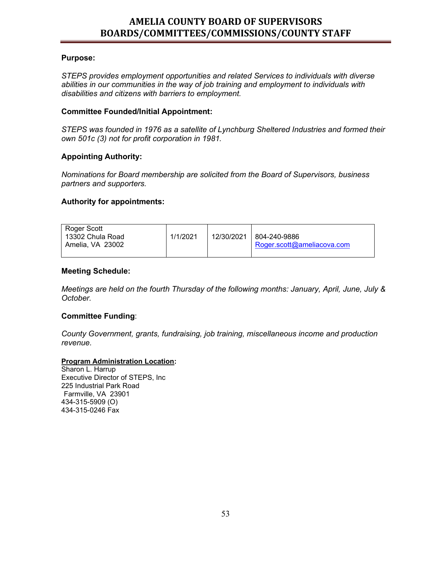#### **Purpose:**

*STEPS provides employment opportunities and related Services to individuals with diverse abilities in our communities in the way of job training and employment to individuals with disabilities and citizens with barriers to employment.* 

#### **Committee Founded/Initial Appointment:**

*STEPS was founded in 1976 as a satellite of Lynchburg Sheltered Industries and formed their own 501c (3) not for profit corporation in 1981.* 

#### **Appointing Authority:**

*Nominations for Board membership are solicited from the Board of Supervisors, business partners and supporters.*

#### **Authority for appointments:**

| Roger Scott<br>13302 Chula Road | 1/1/2021 | 12/30/2021   804-240-9886  |
|---------------------------------|----------|----------------------------|
| Amelia. VA 23002                |          | Roger.scott@ameliacova.com |

#### **Meeting Schedule:**

*Meetings are held on the fourth Thursday of the following months: January, April, June, July & October.* 

#### **Committee Funding**:

*County Government, grants, fundraising, job training, miscellaneous income and production revenue.*

#### **Program Administration Location:**

Sharon L. Harrup Executive Director of STEPS, Inc 225 Industrial Park Road Farmville, VA 23901 434-315-5909 (O) 434-315-0246 Fax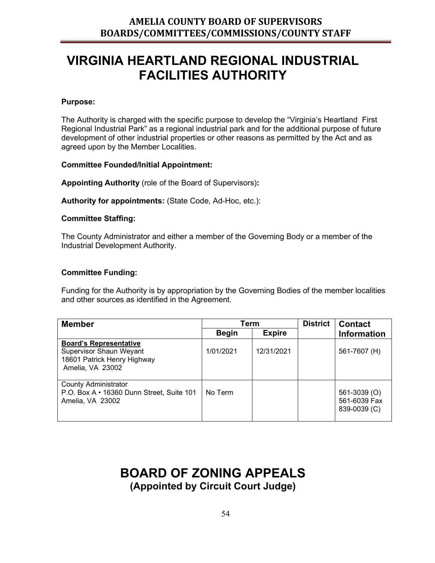## **VIRGINIA HEARTLAND REGIONAL INDUSTRIAL FACILITIES AUTHORITY**

#### **Purpose:**

The Authority is charged with the specific purpose to develop the "Virginia's Heartland First Regional Industrial Park" as a regional industrial park and for the additional purpose of future development of other industrial properties or other reasons as permitted by the Act and as agreed upon by the Member Localities.

#### **Committee Founded/Initial Appointment:**

**Appointing Authority** (role of the Board of Supervisors)**:** 

**Authority for appointments:** (State Code, Ad-Hoc, etc.):

#### **Committee Staffing:**

The County Administrator and either a member of the Governing Body or a member of the Industrial Development Authority.

#### **Committee Funding:**

Funding for the Authority is by appropriation by the Governing Bodies of the member localities and other sources as identified in the Agreement.

| <b>Member</b>                                                                                               | Term         |               | <b>District</b> | <b>Contact</b>                               |
|-------------------------------------------------------------------------------------------------------------|--------------|---------------|-----------------|----------------------------------------------|
|                                                                                                             | <b>Begin</b> | <b>Expire</b> |                 | <b>Information</b>                           |
| <b>Board's Representative</b><br>Supervisor Shaun Weyant<br>18601 Patrick Henry Highway<br>Amelia, VA 23002 | 1/01/2021    | 12/31/2021    |                 | 561-7607 (H)                                 |
| <b>County Administrator</b><br>P.O. Box A • 16360 Dunn Street, Suite 101<br>Amelia, VA 23002                | No Term      |               |                 | 561-3039 (O)<br>561-6039 Fax<br>839-0039 (C) |

# **BOARD OF ZONING APPEALS**

**(Appointed by Circuit Court Judge)**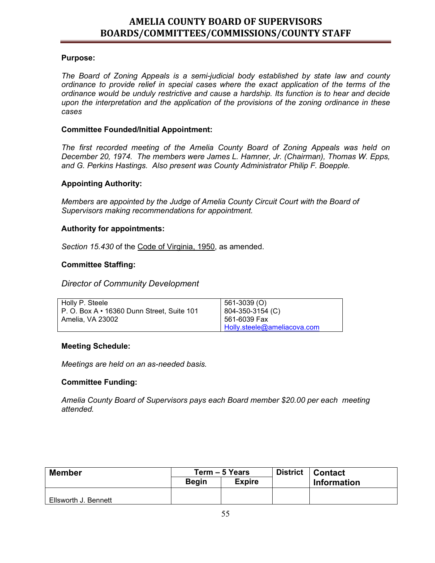#### **Purpose:**

*The Board of Zoning Appeals is a semi-judicial body established by state law and county ordinance to provide relief in special cases where the exact application of the terms of the ordinance would be unduly restrictive and cause a hardship. Its function is to hear and decide upon the interpretation and the application of the provisions of the zoning ordinance in these cases* 

#### **Committee Founded/Initial Appointment:**

*The first recorded meeting of the Amelia County Board of Zoning Appeals was held on December 20, 1974. The members were James L. Hamner, Jr. (Chairman), Thomas W. Epps, and G. Perkins Hastings. Also present was County Administrator Philip F. Boepple.* 

#### **Appointing Authority:**

*Members are appointed by the Judge of Amelia County Circuit Court with the Board of Supervisors making recommendations for appointment.* 

#### **Authority for appointments:**

*Section 15.430* of the Code of Virginia, 1950, as amended.

#### **Committee Staffing:**

#### *Director of Community Development*

| Holly P. Steele                                  | 561-3039 (O)                |
|--------------------------------------------------|-----------------------------|
| P. O. Box $A \cdot 16360$ Dunn Street, Suite 101 | 804-350-3154 (C)            |
| Amelia, VA 23002                                 | 561-6039 Fax                |
|                                                  | Holly.steele@ameliacova.com |

#### **Meeting Schedule:**

*Meetings are held on an as-needed basis.*

#### **Committee Funding:**

*Amelia County Board of Supervisors pays each Board member \$20.00 per each meeting attended.*

| <b>Member</b>        | Term - 5 Years |               | <b>District</b> | <b>Contact</b> |
|----------------------|----------------|---------------|-----------------|----------------|
|                      | <b>Begin</b>   | <b>Expire</b> |                 | Information    |
|                      |                |               |                 |                |
| Ellsworth J. Bennett |                |               |                 |                |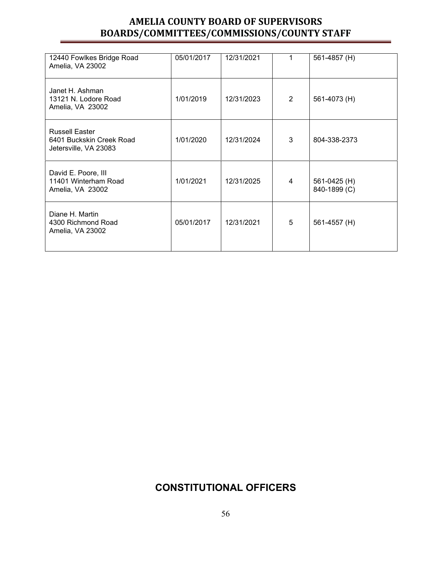| 12440 Fowlkes Bridge Road<br>Amelia, VA 23002                              | 05/01/2017 | 12/31/2021 |   | 561-4857 (H)                 |
|----------------------------------------------------------------------------|------------|------------|---|------------------------------|
| Janet H. Ashman<br>13121 N. Lodore Road<br>Amelia, VA 23002                | 1/01/2019  | 12/31/2023 | 2 | 561-4073 (H)                 |
| <b>Russell Easter</b><br>6401 Buckskin Creek Road<br>Jetersville, VA 23083 | 1/01/2020  | 12/31/2024 | 3 | 804-338-2373                 |
| David E. Poore, III<br>11401 Winterham Road<br>Amelia, VA 23002            | 1/01/2021  | 12/31/2025 | 4 | 561-0425 (H)<br>840-1899 (C) |
| Diane H. Martin<br>4300 Richmond Road<br>Amelia, VA 23002                  | 05/01/2017 | 12/31/2021 | 5 | 561-4557 (H)                 |

## **CONSTITUTIONAL OFFICERS**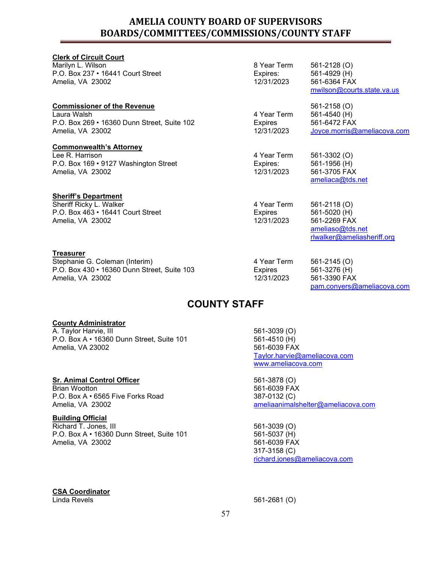| <b>Clerk of Circuit Court</b>               |                |                             |
|---------------------------------------------|----------------|-----------------------------|
| Marilyn L. Wilson                           | 8 Year Term    | 561-2128 (O)                |
| P.O. Box 237 • 16441 Court Street           | Expires:       | 561-4929 (H)                |
| Amelia, VA 23002                            | 12/31/2023     | 561-6364 FAX                |
|                                             |                | mwilson@courts.state.va.us  |
| <b>Commissioner of the Revenue</b>          |                | 561-2158 (O)                |
| Laura Walsh                                 | 4 Year Term    | 561-4540 (H)                |
| P.O. Box 269 • 16360 Dunn Street, Suite 102 | <b>Expires</b> | 561-6472 FAX                |
| Amelia, VA 23002                            | 12/31/2023     | Joyce.morris@ameliacova.com |
| <b>Commonwealth's Attorney</b>              |                |                             |
| Lee R. Harrison                             | 4 Year Term    | 561-3302 (O)                |
| P.O. Box 169 • 9127 Washington Street       | Expires:       | 561-1956 (H)                |
| Amelia, VA 23002                            | 12/31/2023     | 561-3705 FAX                |
|                                             |                | ameliaca@tds.net            |
| <b>Sheriff's Department</b>                 |                |                             |
| Sheriff Ricky L. Walker                     | 4 Year Term    | 561-2118 (O)                |
| P.O. Box 463 • 16441 Court Street           | Expires        | 561-5020 (H)                |
| Amelia, VA 23002                            | 12/31/2023     | 561-2269 FAX                |
|                                             |                | ameliaso@tds.net            |
|                                             |                | rlwalker@ameliasheriff.org  |
| Treasurer                                   |                |                             |
| Stephanie G. Coleman (Interim)              | 4 Year Term    | 561-2145 (O)                |
| P.O. Box 430 • 16360 Dunn Street, Suite 103 | <b>Expires</b> | 561-3276 (H)                |
| Amelia, VA 23002                            | 12/31/2023     | 561-3390 FAX                |

## **COUNTY STAFF**

#### **County Administrator**

A. Taylor Harvie, III P.O. Box A • 16360 Dunn Street, Suite 101 Amelia, VA 23002

#### **Sr. Animal Control Officer**

Brian Wootton P.O. Box A • 6565 Five Forks Road Amelia, VA 23002

#### **Building Official**

Richard T. Jones, III P.O. Box A • 16360 Dunn Street, Suite 101 Amelia, VA 23002

561-3039 (O) 561-4510 (H) 561-6039 FAX [Taylor.harvie@ameliacova.com](mailto:Taylor.harvie@ameliacova.com) [www.ameliacova.com](http://www.ameliacova.com/)

561-3878 (O) 561-6039 FAX 387-0132 (C) [ameliaanimalshelter@ameliacova.com](mailto:ameliaanimalshelter@ameliacova.com)

[pam.conyers@ameliacova.com](mailto:pam.conyers@ameliacova.com)

561-3039 (O) 561-5037 (H) 561-6039 FAX 317-3158 (C) [richard.jones@ameliacova.com](mailto:richard.jones@ameliacova.com)

## **CSA Coordinator**

561-2681 (O)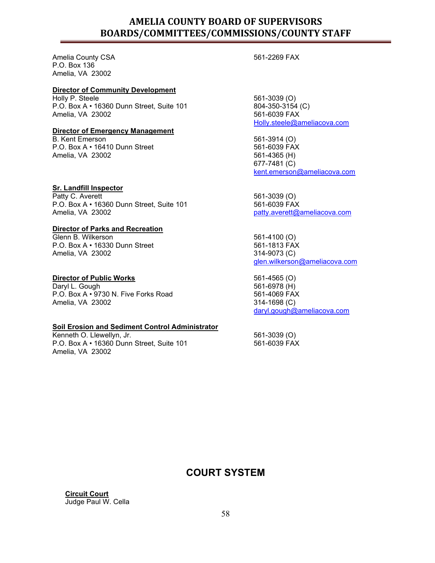Amelia County CSA P.O. Box 136 Amelia, VA 23002

#### **Director of Community Development**

Holly P. Steele P.O. Box A • 16360 Dunn Street, Suite 101 Amelia, VA 23002

#### **Director of Emergency Management**

B. Kent Emerson P.O. Box A • 16410 Dunn Street Amelia, VA 23002

#### **Sr. Landfill Inspector**

Patty C. Averett P.O. Box A • 16360 Dunn Street, Suite 101 Amelia, VA 23002

#### **Director of Parks and Recreation**

Glenn B. Wilkerson P.O. Box A • 16330 Dunn Street Amelia, VA 23002

#### **Director of Public Works**

Daryl L. Gough P.O. Box A • 9730 N. Five Forks Road Amelia, VA 23002

#### **Soil Erosion and Sediment Control Administrator**

Kenneth O. Llewellyn, Jr. P.O. Box A • 16360 Dunn Street, Suite 101 Amelia, VA 23002

561-2269 FAX

561-3039 (O) 804-350-3154 (C) 561-6039 FAX [Holly.steele@ameliacova.com](mailto:Holly.steele@ameliacova.com)

561-3914 (O) 561-6039 FAX 561-4365 (H) 677-7481 (C) [kent.emerson@ameliacova.com](mailto:kent.emerson@ameliacova.com)

561-3039 (O) 561-6039 FAX [patty.averett@ameliacova.com](mailto:patty.averett@ameliacova.com)

561-4100 (O) 561-1813 FAX 314-9073 (C) [glen.wilkerson@ameliacova.com](mailto:glen.wilkerson@ameliacova.com)

561-4565 (O) 561-6978 (H) 561-4069 FAX 314-1698 (C) [daryl.gough@ameliacova.com](mailto:daryl.gough@ameliacova.com)

561-3039 (O) 561-6039 FAX

## **COURT SYSTEM**

**Circuit Court**  Judge Paul W. Cella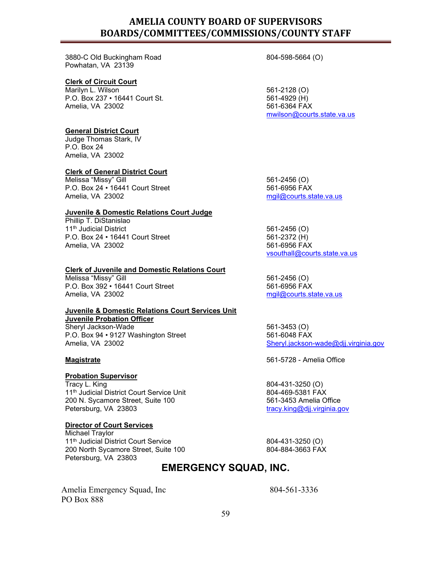3880-C Old Buckingham Road Powhatan, VA 23139

#### **Clerk of Circuit Court**

Marilyn L. Wilson P.O. Box 237 • 16441 Court St. Amelia, VA 23002

#### **General District Court**

Judge Thomas Stark, IV P.O. Box 24 Amelia, VA 23002

#### **Clerk of General District Court**

Melissa "Missy" Gill P.O. Box 24 • 16441 Court Street Amelia, VA 23002

#### **Juvenile & Domestic Relations Court Judge**

Phillip T. DiStanislao 11<sup>th</sup> Judicial District P.O. Box 24 • 16441 Court Street Amelia, VA 23002

#### **Clerk of Juvenile and Domestic Relations Court**

Melissa "Missy" Gill P.O. Box 392 • 16441 Court Street Amelia, VA 23002

## **Juvenile & Domestic Relations Court Services Unit**

**Juvenile Probation Officer**

Sheryl Jackson-Wade P.O. Box 94 • 9127 Washington Street Amelia, VA 23002

## **Probation Supervisor**

Tracy L. King 11<sup>th</sup> Judicial District Court Service Unit 200 N. Sycamore Street, Suite 100 Petersburg, VA 23803

#### **Director of Court Services**

Michael Traylor 11<sup>th</sup> Judicial District Court Service 200 North Sycamore Street, Suite 100 Petersburg, VA 23803

804-598-5664 (O)

561-2128 (O) 561-4929 (H) 561-6364 FAX [mwilson@courts.state.va.us](mailto:mwilson@courts.state.va.us)

561-2456 (O) 561-6956 FAX [mgil@courts.state.va.us](mailto:mgil@courts.state.va.us)

561-2456 (O) 561-2372 (H) 561-6956 FAX [vsouthall@courts.state.va.us](mailto:vsouthall@courts.state.va.us)

561-2456 (O) 561-6956 FAX [mgil@courts.state.va.us](mailto:mgil@courts.state.va.us)

561-3453 (O) 561-6048 FAX [Sheryl.jackson-wade@djj.virginia.gov](mailto:Sheryl.jackson-wade@djj.virginia.gov)

**Magistrate** 561-5728 - Amelia Office

804-431-3250 (O) 804-469-5381 FAX 561-3453 Amelia Office [tracy.king@djj.virginia.gov](mailto:tracy.king@djj.virginia.gov)

804-431-3250 (O) 804-884-3663 FAX

### **EMERGENCY SQUAD, INC.**

Amelia Emergency Squad, Inc PO Box 888

804-561-3336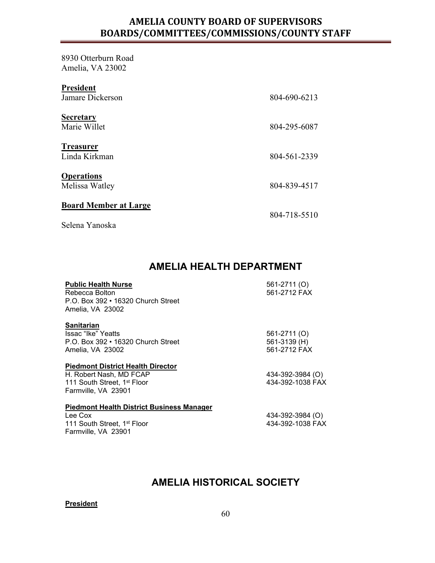8930 Otterburn Road Amelia, VA 23002

| <b>President</b><br>Jamare Dickerson           | 804-690-6213 |
|------------------------------------------------|--------------|
| <b>Secretary</b><br>Marie Willet               | 804-295-6087 |
| <b>Treasurer</b><br>Linda Kirkman              | 804-561-2339 |
| <b>Operations</b><br>Melissa Watley            | 804-839-4517 |
| <b>Board Member at Large</b><br>Selena Yanoska | 804-718-5510 |

## **AMELIA HEALTH DEPARTMENT**

| <b>Public Health Nurse</b><br>Rebecca Bolton<br>P.O. Box 392 • 16320 Church Street<br>Amelia, VA 23002 | 561-2711 (O)<br>561-2712 FAX |
|--------------------------------------------------------------------------------------------------------|------------------------------|
| Sanitarian                                                                                             |                              |
| -Issac "Ike" Yeatts                                                                                    | 561-2711 (O)                 |
| P.O. Box 392 • 16320 Church Street                                                                     | 561-3139 (H)                 |
| Amelia, VA 23002                                                                                       | 561-2712 FAX                 |
| <b>Piedmont District Health Director</b>                                                               |                              |
| H. Robert Nash, MD FCAP                                                                                | 434-392-3984 (O)             |
| 111 South Street, 1 <sup>st</sup> Floor                                                                | 434-392-1038 FAX             |
| Farmville, VA 23901                                                                                    |                              |
| <b>Piedmont Health District Business Manager</b>                                                       |                              |
| Lee Cox                                                                                                | 434-392-3984 (O)             |
| 111 South Street, 1 <sup>st</sup> Floor                                                                | 434-392-1038 FAX             |

## **AMELIA HISTORICAL SOCIETY**

**President**

Farmville, VA 23901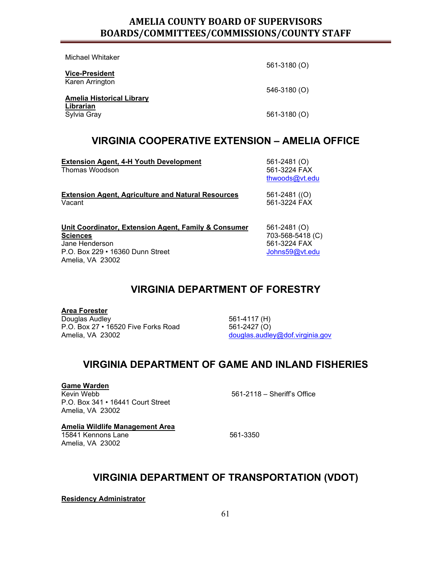Michael Whitaker **Vice-President** Karen Arrington 561-3180 (O) 546-3180 (O) **Amelia Historical Library Librarian** 561-3180 (O)

## **VIRGINIA COOPERATIVE EXTENSION – AMELIA OFFICE**

| <b>Extension Agent, 4-H Youth Development</b><br>Thomas Woodson                                                                                   | 561-2481 (O)<br>561-3224 FAX<br>thwoods@vt.edu                     |
|---------------------------------------------------------------------------------------------------------------------------------------------------|--------------------------------------------------------------------|
| <b>Extension Agent, Agriculture and Natural Resources</b><br>Vacant                                                                               | 561-2481 ((O)<br>561-3224 FAX                                      |
| Unit Coordinator, Extension Agent, Family & Consumer<br><b>Sciences</b><br>Jane Henderson<br>P.O. Box 229 • 16360 Dunn Street<br>Amelia, VA 23002 | 561-2481 (O)<br>703-568-5418 (C)<br>561-3224 FAX<br>Johns59@vt.edu |

## **VIRGINIA DEPARTMENT OF FORESTRY**

**Area Forester** Douglas Audley P.O. Box 27 • 16520 Five Forks Road Amelia, VA 23002

561-4117 (H) 561-2427 (O) [douglas.audley@dof.virginia.gov](mailto:douglas.audley@dof.virginia.gov)

### **VIRGINIA DEPARTMENT OF GAME AND INLAND FISHERIES**

**Game Warden**

Kevin Webb P.O. Box 341 • 16441 Court Street Amelia, VA 23002

561-2118 – Sheriff's Office

**Amelia Wildlife Management Area**

15841 Kennons Lane Amelia, VA 23002

561-3350

### **VIRGINIA DEPARTMENT OF TRANSPORTATION (VDOT)**

**Residency Administrator**